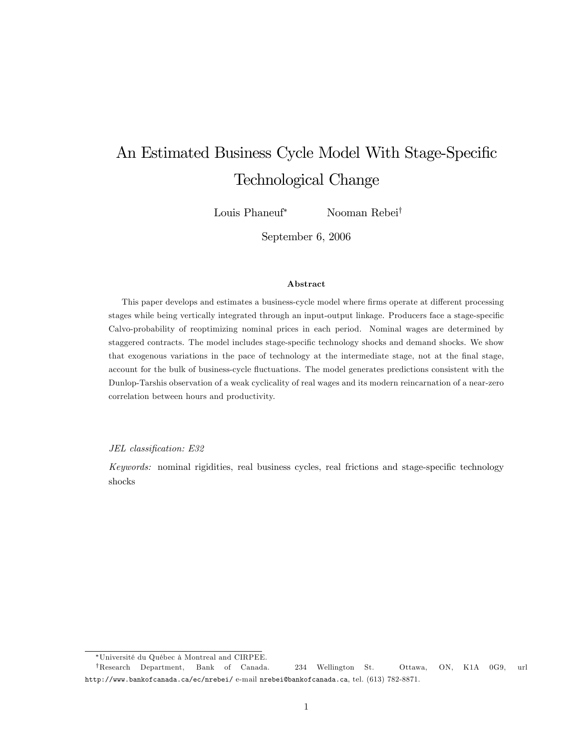# An Estimated Business Cycle Model With Stage-Specific Technological Change

Louis Phaneuf<sup>\*</sup> Nooman Rebei<sup>†</sup>

September 6, 2006

#### Abstract

This paper develops and estimates a business-cycle model where firms operate at different processing stages while being vertically integrated through an input-output linkage. Producers face a stage-specific Calvo-probability of reoptimizing nominal prices in each period. Nominal wages are determined by staggered contracts. The model includes stage-specific technology shocks and demand shocks. We show that exogenous variations in the pace of technology at the intermediate stage, not at the Önal stage, account for the bulk of business-cycle fluctuations. The model generates predictions consistent with the Dunlop-Tarshis observation of a weak cyclicality of real wages and its modern reincarnation of a near-zero correlation between hours and productivity.

JEL classification: E32

Keywords: nominal rigidities, real business cycles, real frictions and stage-specific technology shocks

<sup>\*</sup>Université du Québec à Montreal and CIRPEE.

yResearch Department, Bank of Canada. 234 Wellington St. Ottawa, ON, K1A 0G9, url http://www.bankofcanada.ca/ec/nrebei/ e-mail nrebei@bankofcanada.ca, tel. (613) 782-8871.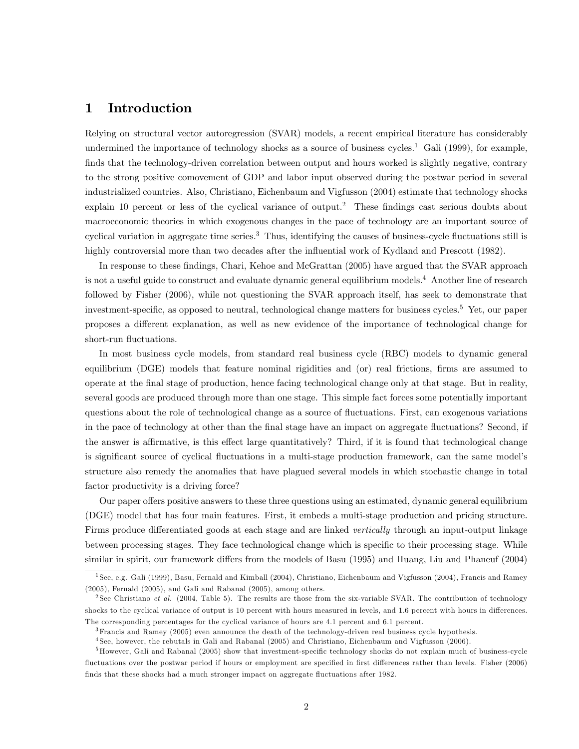# 1 Introduction

Relying on structural vector autoregression (SVAR) models, a recent empirical literature has considerably undermined the importance of technology shocks as a source of business cycles.<sup>1</sup> Gali (1999), for example, finds that the technology-driven correlation between output and hours worked is slightly negative, contrary to the strong positive comovement of GDP and labor input observed during the postwar period in several industrialized countries. Also, Christiano, Eichenbaum and Vigfusson (2004) estimate that technology shocks explain 10 percent or less of the cyclical variance of output.<sup>2</sup> These findings cast serious doubts about macroeconomic theories in which exogenous changes in the pace of technology are an important source of cyclical variation in aggregate time series.<sup>3</sup> Thus, identifying the causes of business-cycle fluctuations still is highly controversial more than two decades after the influential work of Kydland and Prescott (1982).

In response to these findings, Chari, Kehoe and McGrattan (2005) have argued that the SVAR approach is not a useful guide to construct and evaluate dynamic general equilibrium models.<sup>4</sup> Another line of research followed by Fisher (2006), while not questioning the SVAR approach itself, has seek to demonstrate that investment-specific, as opposed to neutral, technological change matters for business cycles.<sup>5</sup> Yet, our paper proposes a different explanation, as well as new evidence of the importance of technological change for short-run fluctuations.

In most business cycle models, from standard real business cycle (RBC) models to dynamic general equilibrium (DGE) models that feature nominal rigidities and (or) real frictions, firms are assumed to operate at the Önal stage of production, hence facing technological change only at that stage. But in reality, several goods are produced through more than one stage. This simple fact forces some potentially important questions about the role of technological change as a source of fluctuations. First, can exogenous variations in the pace of technology at other than the final stage have an impact on aggregate fluctuations? Second, if the answer is affirmative, is this effect large quantitatively? Third, if it is found that technological change is significant source of cyclical fluctuations in a multi-stage production framework, can the same model's structure also remedy the anomalies that have plagued several models in which stochastic change in total factor productivity is a driving force?

Our paper offers positive answers to these three questions using an estimated, dynamic general equilibrium (DGE) model that has four main features. First, it embeds a multi-stage production and pricing structure. Firms produce differentiated goods at each stage and are linked vertically through an input-output linkage between processing stages. They face technological change which is specific to their processing stage. While similar in spirit, our framework differs from the models of Basu (1995) and Huang, Liu and Phaneuf (2004)

<sup>&</sup>lt;sup>1</sup> See, e.g. Gali (1999), Basu, Fernald and Kimball (2004), Christiano, Eichenbaum and Vigfusson (2004), Francis and Ramey (2005), Fernald (2005), and Gali and Rabanal (2005), among others.

<sup>&</sup>lt;sup>2</sup> See Christiano et al. (2004, Table 5). The results are those from the six-variable SVAR. The contribution of technology shocks to the cyclical variance of output is 10 percent with hours measured in levels, and 1.6 percent with hours in differences. The corresponding percentages for the cyclical variance of hours are 4.1 percent and 6.1 percent.

<sup>3</sup>Francis and Ramey (2005) even announce the death of the technology-driven real business cycle hypothesis.

<sup>4</sup> See, however, the rebutals in Gali and Rabanal (2005) and Christiano, Eichenbaum and Vigfusson (2006).

 $5$ However, Gali and Rabanal (2005) show that investment-specific technology shocks do not explain much of business-cycle fluctuations over the postwar period if hours or employment are specified in first differences rather than levels. Fisher (2006) finds that these shocks had a much stronger impact on aggregate fluctuations after 1982.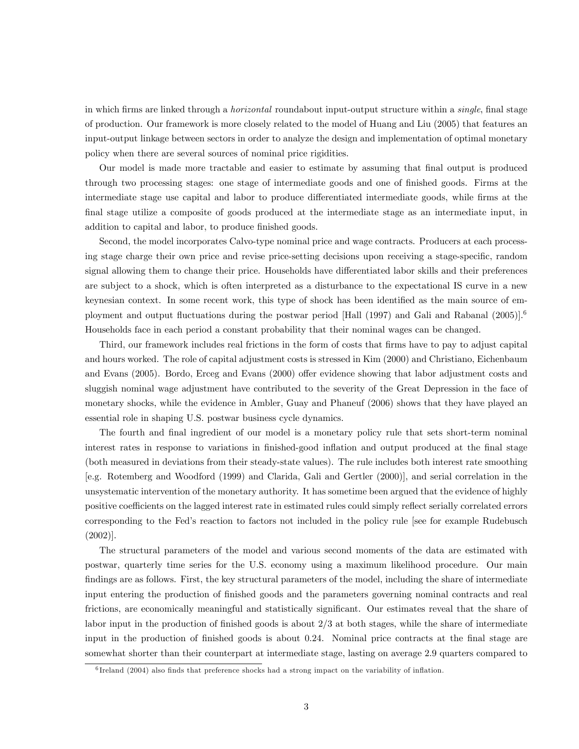in which firms are linked through a *horizontal* roundabout input-output structure within a *single*, final stage of production. Our framework is more closely related to the model of Huang and Liu (2005) that features an input-output linkage between sectors in order to analyze the design and implementation of optimal monetary policy when there are several sources of nominal price rigidities.

Our model is made more tractable and easier to estimate by assuming that final output is produced through two processing stages: one stage of intermediate goods and one of finished goods. Firms at the intermediate stage use capital and labor to produce differentiated intermediate goods, while firms at the final stage utilize a composite of goods produced at the intermediate stage as an intermediate input, in addition to capital and labor, to produce finished goods.

Second, the model incorporates Calvo-type nominal price and wage contracts. Producers at each processing stage charge their own price and revise price-setting decisions upon receiving a stage-specific, random signal allowing them to change their price. Households have differentiated labor skills and their preferences are subject to a shock, which is often interpreted as a disturbance to the expectational IS curve in a new keynesian context. In some recent work, this type of shock has been identified as the main source of employment and output fluctuations during the postwar period [Hall (1997) and Gali and Rabanal  $(2005)$ ].<sup>6</sup> Households face in each period a constant probability that their nominal wages can be changed.

Third, our framework includes real frictions in the form of costs that Örms have to pay to adjust capital and hours worked. The role of capital adjustment costs is stressed in Kim (2000) and Christiano, Eichenbaum and Evans (2005). Bordo, Erceg and Evans (2000) offer evidence showing that labor adjustment costs and sluggish nominal wage adjustment have contributed to the severity of the Great Depression in the face of monetary shocks, while the evidence in Ambler, Guay and Phaneuf (2006) shows that they have played an essential role in shaping U.S. postwar business cycle dynamics.

The fourth and final ingredient of our model is a monetary policy rule that sets short-term nominal interest rates in response to variations in finished-good inflation and output produced at the final stage (both measured in deviations from their steady-state values). The rule includes both interest rate smoothing [e.g. Rotemberg and Woodford (1999) and Clarida, Gali and Gertler (2000)], and serial correlation in the unsystematic intervention of the monetary authority. It has sometime been argued that the evidence of highly positive coefficients on the lagged interest rate in estimated rules could simply reflect serially correlated errors corresponding to the Fedís reaction to factors not included in the policy rule [see for example Rudebusch (2002)].

The structural parameters of the model and various second moments of the data are estimated with postwar, quarterly time series for the U.S. economy using a maximum likelihood procedure. Our main findings are as follows. First, the key structural parameters of the model, including the share of intermediate input entering the production of finished goods and the parameters governing nominal contracts and real frictions, are economically meaningful and statistically significant. Our estimates reveal that the share of labor input in the production of finished goods is about  $2/3$  at both stages, while the share of intermediate input in the production of finished goods is about 0.24. Nominal price contracts at the final stage are somewhat shorter than their counterpart at intermediate stage, lasting on average 2.9 quarters compared to

<sup>&</sup>lt;sup>6</sup> Ireland (2004) also finds that preference shocks had a strong impact on the variability of inflation.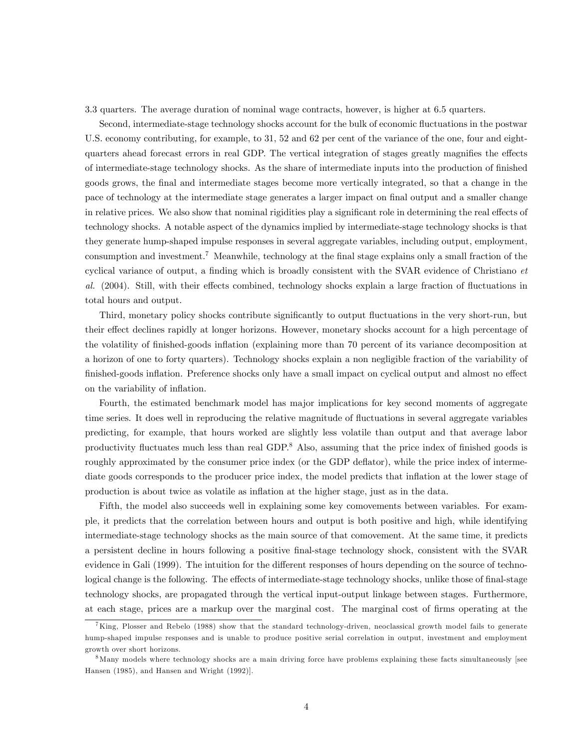3.3 quarters. The average duration of nominal wage contracts, however, is higher at 6.5 quarters.

Second, intermediate-stage technology shocks account for the bulk of economic fluctuations in the postwar U.S. economy contributing, for example, to 31, 52 and 62 per cent of the variance of the one, four and eightquarters ahead forecast errors in real GDP. The vertical integration of stages greatly magnifies the effects of intermediate-stage technology shocks. As the share of intermediate inputs into the production of Önished goods grows, the Önal and intermediate stages become more vertically integrated, so that a change in the pace of technology at the intermediate stage generates a larger impact on final output and a smaller change in relative prices. We also show that nominal rigidities play a significant role in determining the real effects of technology shocks. A notable aspect of the dynamics implied by intermediate-stage technology shocks is that they generate hump-shaped impulse responses in several aggregate variables, including output, employment, consumption and investment.<sup>7</sup> Meanwhile, technology at the final stage explains only a small fraction of the cyclical variance of output, a finding which is broadly consistent with the SVAR evidence of Christiano  $et$ al. (2004). Still, with their effects combined, technology shocks explain a large fraction of fluctuations in total hours and output.

Third, monetary policy shocks contribute significantly to output fluctuations in the very short-run, but their effect declines rapidly at longer horizons. However, monetary shocks account for a high percentage of the volatility of finished-goods inflation (explaining more than 70 percent of its variance decomposition at a horizon of one to forty quarters). Technology shocks explain a non negligible fraction of the variability of finished-goods inflation. Preference shocks only have a small impact on cyclical output and almost no effect on the variability of inflation.

Fourth, the estimated benchmark model has major implications for key second moments of aggregate time series. It does well in reproducing the relative magnitude of fluctuations in several aggregate variables predicting, for example, that hours worked are slightly less volatile than output and that average labor productivity fluctuates much less than real GDP.<sup>8</sup> Also, assuming that the price index of finished goods is roughly approximated by the consumer price index (or the GDP deflator), while the price index of intermediate goods corresponds to the producer price index, the model predicts that inflation at the lower stage of production is about twice as volatile as ináation at the higher stage, just as in the data.

Fifth, the model also succeeds well in explaining some key comovements between variables. For example, it predicts that the correlation between hours and output is both positive and high, while identifying intermediate-stage technology shocks as the main source of that comovement. At the same time, it predicts a persistent decline in hours following a positive Önal-stage technology shock, consistent with the SVAR evidence in Gali (1999). The intuition for the different responses of hours depending on the source of technological change is the following. The effects of intermediate-stage technology shocks, unlike those of final-stage technology shocks, are propagated through the vertical input-output linkage between stages. Furthermore, at each stage, prices are a markup over the marginal cost. The marginal cost of firms operating at the

 ${}^{7}$ King, Plosser and Rebelo (1988) show that the standard technology-driven, neoclassical growth model fails to generate hump-shaped impulse responses and is unable to produce positive serial correlation in output, investment and employment growth over short horizons.

<sup>8</sup>Many models where technology shocks are a main driving force have problems explaining these facts simultaneously [see Hansen (1985), and Hansen and Wright (1992)].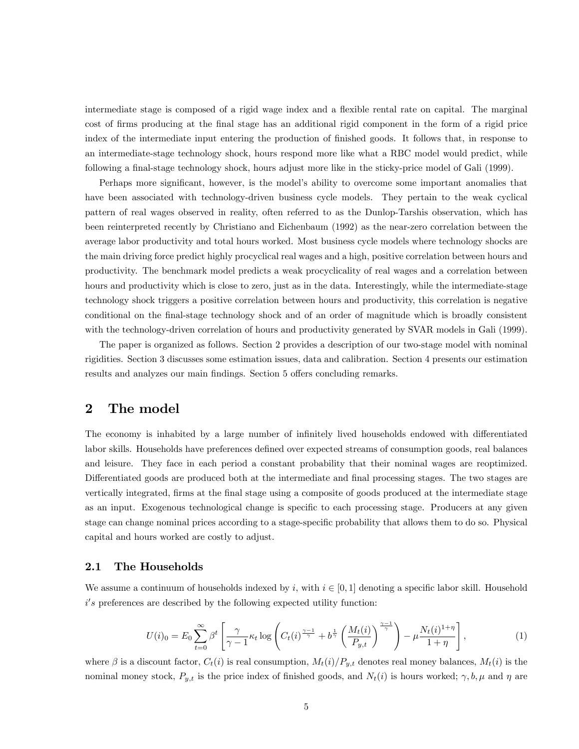intermediate stage is composed of a rigid wage index and a flexible rental rate on capital. The marginal cost of firms producing at the final stage has an additional rigid component in the form of a rigid price index of the intermediate input entering the production of finished goods. It follows that, in response to an intermediate-stage technology shock, hours respond more like what a RBC model would predict, while following a final-stage technology shock, hours adjust more like in the sticky-price model of Gali (1999).

Perhaps more significant, however, is the model's ability to overcome some important anomalies that have been associated with technology-driven business cycle models. They pertain to the weak cyclical pattern of real wages observed in reality, often referred to as the Dunlop-Tarshis observation, which has been reinterpreted recently by Christiano and Eichenbaum (1992) as the near-zero correlation between the average labor productivity and total hours worked. Most business cycle models where technology shocks are the main driving force predict highly procyclical real wages and a high, positive correlation between hours and productivity. The benchmark model predicts a weak procyclicality of real wages and a correlation between hours and productivity which is close to zero, just as in the data. Interestingly, while the intermediate-stage technology shock triggers a positive correlation between hours and productivity, this correlation is negative conditional on the Önal-stage technology shock and of an order of magnitude which is broadly consistent with the technology-driven correlation of hours and productivity generated by SVAR models in Gali (1999).

The paper is organized as follows. Section 2 provides a description of our two-stage model with nominal rigidities. Section 3 discusses some estimation issues, data and calibration. Section 4 presents our estimation results and analyzes our main findings. Section 5 offers concluding remarks.

# 2 The model

The economy is inhabited by a large number of infinitely lived households endowed with differentiated labor skills. Households have preferences defined over expected streams of consumption goods, real balances and leisure. They face in each period a constant probability that their nominal wages are reoptimized. Differentiated goods are produced both at the intermediate and final processing stages. The two stages are vertically integrated, firms at the final stage using a composite of goods produced at the intermediate stage as an input. Exogenous technological change is specific to each processing stage. Producers at any given stage can change nominal prices according to a stage-specific probability that allows them to do so. Physical capital and hours worked are costly to adjust.

### 2.1 The Households

We assume a continuum of households indexed by i, with  $i \in [0, 1]$  denoting a specific labor skill. Household i's preferences are described by the following expected utility function:

$$
U(i)_0 = E_0 \sum_{t=0}^{\infty} \beta^t \left[ \frac{\gamma}{\gamma - 1} \kappa_t \log \left( C_t(i)^{\frac{\gamma - 1}{\gamma}} + b^{\frac{1}{\gamma}} \left( \frac{M_t(i)}{P_{y,t}} \right)^{\frac{\gamma - 1}{\gamma}} \right) - \mu \frac{N_t(i)^{1 + \eta}}{1 + \eta} \right],
$$
 (1)

where  $\beta$  is a discount factor,  $C_t(i)$  is real consumption,  $M_t(i)/P_{y,t}$  denotes real money balances,  $M_t(i)$  is the nominal money stock,  $P_{y,t}$  is the price index of finished goods, and  $N_t(i)$  is hours worked;  $\gamma, b, \mu$  and  $\eta$  are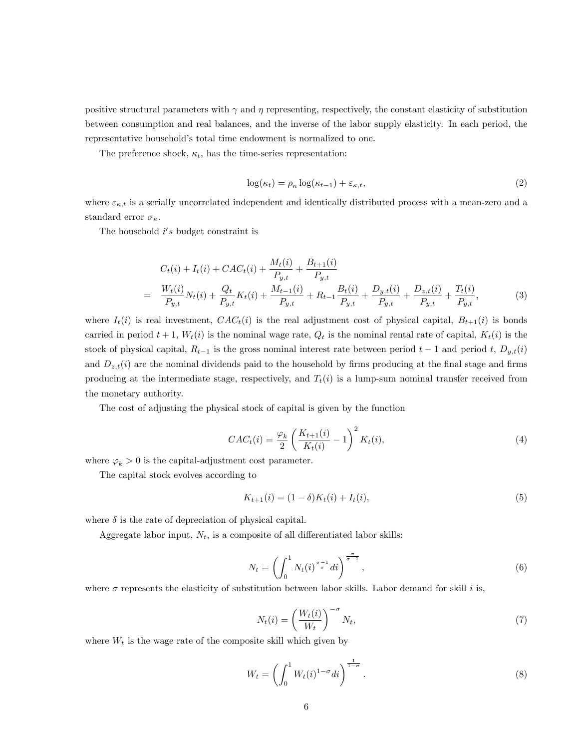positive structural parameters with  $\gamma$  and  $\eta$  representing, respectively, the constant elasticity of substitution between consumption and real balances, and the inverse of the labor supply elasticity. In each period, the representative household's total time endowment is normalized to one.

The preference shock,  $\kappa_t$ , has the time-series representation:

$$
\log(\kappa_t) = \rho_\kappa \log(\kappa_{t-1}) + \varepsilon_{\kappa, t},\tag{2}
$$

where  $\varepsilon_{\kappa,t}$  is a serially uncorrelated independent and identically distributed process with a mean-zero and a standard error  $\sigma_{\kappa}$ .

The household  $i's$  budget constraint is

$$
C_{t}(i) + I_{t}(i) + CAC_{t}(i) + \frac{M_{t}(i)}{P_{y,t}} + \frac{B_{t+1}(i)}{P_{y,t}}
$$
  
= 
$$
\frac{W_{t}(i)}{P_{y,t}}N_{t}(i) + \frac{Q_{t}}{P_{y,t}}K_{t}(i) + \frac{M_{t-1}(i)}{P_{y,t}} + R_{t-1}\frac{B_{t}(i)}{P_{y,t}} + \frac{D_{y,t}(i)}{P_{y,t}} + \frac{D_{z,t}(i)}{P_{y,t}} + \frac{T_{t}(i)}{P_{y,t}},
$$
(3)

where  $I_t(i)$  is real investment,  $CAC_t(i)$  is the real adjustment cost of physical capital,  $B_{t+1}(i)$  is bonds carried in period  $t + 1$ ,  $W_t(i)$  is the nominal wage rate,  $Q_t$  is the nominal rental rate of capital,  $K_t(i)$  is the stock of physical capital,  $R_{t-1}$  is the gross nominal interest rate between period  $t-1$  and period t,  $D_{y,t}(i)$ and  $D_{z,t}(i)$  are the nominal dividends paid to the household by firms producing at the final stage and firms producing at the intermediate stage, respectively, and  $T_t(i)$  is a lump-sum nominal transfer received from the monetary authority.

The cost of adjusting the physical stock of capital is given by the function

$$
CAC_{t}(i) = \frac{\varphi_{k}}{2} \left( \frac{K_{t+1}(i)}{K_{t}(i)} - 1 \right)^{2} K_{t}(i), \tag{4}
$$

where  $\varphi_k > 0$  is the capital-adjustment cost parameter.

The capital stock evolves according to

$$
K_{t+1}(i) = (1 - \delta)K_t(i) + I_t(i),
$$
\n(5)

where  $\delta$  is the rate of depreciation of physical capital.

Aggregate labor input,  $N_t$ , is a composite of all differentiated labor skills:

$$
N_t = \left(\int_0^1 N_t(i)^{\frac{\sigma - 1}{\sigma}} di\right)^{\frac{\sigma}{\sigma - 1}},\tag{6}
$$

where  $\sigma$  represents the elasticity of substitution between labor skills. Labor demand for skill i is,

$$
N_t(i) = \left(\frac{W_t(i)}{W_t}\right)^{-\sigma} N_t,\tag{7}
$$

where  $W_t$  is the wage rate of the composite skill which given by

$$
W_t = \left(\int_0^1 W_t(i)^{1-\sigma} di\right)^{\frac{1}{1-\sigma}}.\tag{8}
$$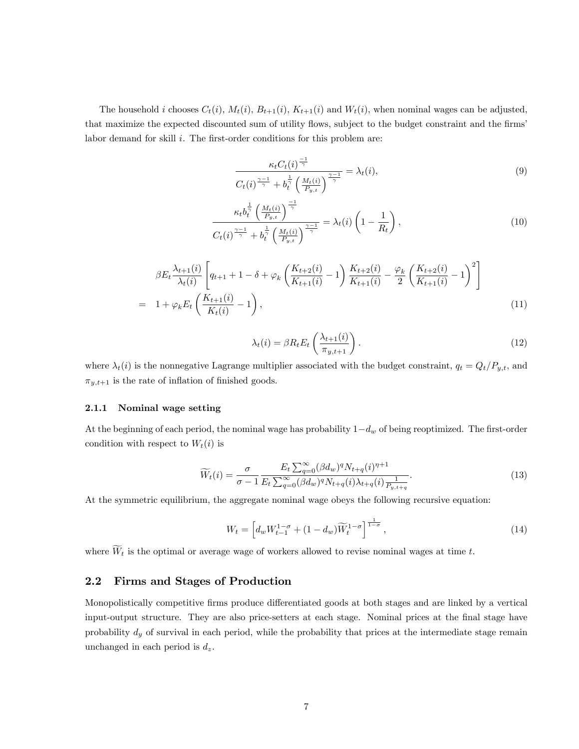The household i chooses  $C_t(i)$ ,  $M_t(i)$ ,  $B_{t+1}(i)$ ,  $K_{t+1}(i)$  and  $W_t(i)$ , when nominal wages can be adjusted, that maximize the expected discounted sum of utility flows, subject to the budget constraint and the firms' labor demand for skill  $i$ . The first-order conditions for this problem are:

$$
\frac{\kappa_t C_t(i)^{\frac{-1}{\gamma}}}{C_t(i)^{\frac{\gamma-1}{\gamma}} + b_t^{\frac{1}{\gamma}} \left(\frac{M_t(i)}{P_{y,t}}\right)^{\frac{\gamma-1}{\gamma}}} = \lambda_t(i),\tag{9}
$$

$$
\frac{\kappa_t b_t^{\frac{1}{\gamma}} \left(\frac{M_t(i)}{P_{y,t}}\right)^{\frac{-1}{\gamma}}}{C_t(i)^{\frac{\gamma-1}{\gamma}} + b_t^{\frac{1}{\gamma}} \left(\frac{M_t(i)}{P_{y,t}}\right)^{\frac{\gamma-1}{\gamma}}} = \lambda_t(i) \left(1 - \frac{1}{R_t}\right),\tag{10}
$$

$$
\beta E_t \frac{\lambda_{t+1}(i)}{\lambda_t(i)} \left[ q_{t+1} + 1 - \delta + \varphi_k \left( \frac{K_{t+2}(i)}{K_{t+1}(i)} - 1 \right) \frac{K_{t+2}(i)}{K_{t+1}(i)} - \frac{\varphi_k}{2} \left( \frac{K_{t+2}(i)}{K_{t+1}(i)} - 1 \right)^2 \right]
$$
\n
$$
= 1 + \varphi_k E_t \left( \frac{K_{t+1}(i)}{K_t(i)} - 1 \right), \tag{11}
$$

$$
\lambda_t(i) = \beta R_t E_t \left( \frac{\lambda_{t+1}(i)}{\pi_{y,t+1}} \right). \tag{12}
$$

where  $\lambda_t(i)$  is the nonnegative Lagrange multiplier associated with the budget constraint,  $q_t = Q_t/P_{y,t}$ , and  $\pi_{y,t+1}$  is the rate of inflation of finished goods.

#### 2.1.1 Nominal wage setting

At the beginning of each period, the nominal wage has probability  $1-d_w$  of being reoptimized. The first-order condition with respect to  $W_t(i)$  is

$$
\widetilde{W}_t(i) = \frac{\sigma}{\sigma - 1} \frac{E_t \sum_{q=0}^{\infty} (\beta d_w)^q N_{t+q}(i)^{q+1}}{E_t \sum_{q=0}^{\infty} (\beta d_w)^q N_{t+q}(i) \lambda_{t+q}(i) \frac{1}{P_{y,t+q}}}.
$$
\n(13)

At the symmetric equilibrium, the aggregate nominal wage obeys the following recursive equation:

$$
W_t = \left[ d_w W_{t-1}^{1-\sigma} + (1-d_w)\widetilde{W}_t^{1-\sigma} \right]^{\frac{1}{1-\sigma}},\tag{14}
$$

where  $\widetilde{W}_t$  is the optimal or average wage of workers allowed to revise nominal wages at time t.

#### 2.2 Firms and Stages of Production

Monopolistically competitive firms produce differentiated goods at both stages and are linked by a vertical input-output structure. They are also price-setters at each stage. Nominal prices at the final stage have probability  $d_y$  of survival in each period, while the probability that prices at the intermediate stage remain unchanged in each period is  $d_z$ .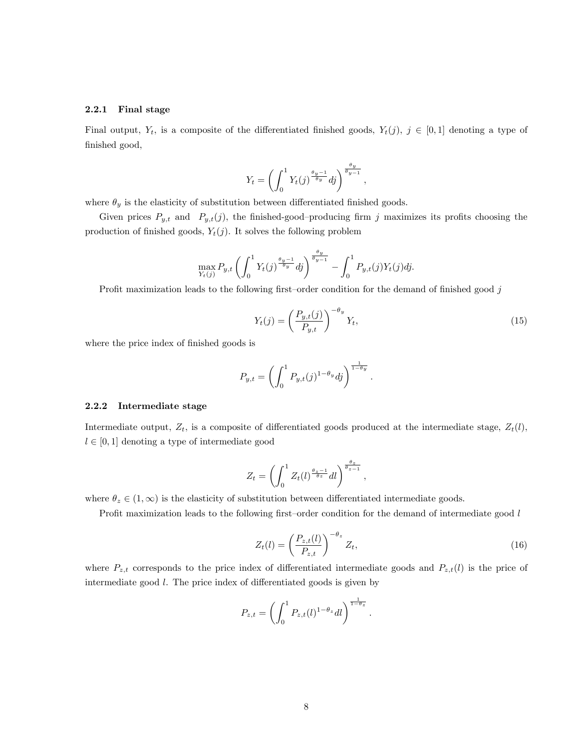#### 2.2.1 Final stage

Final output,  $Y_t$ , is a composite of the differentiated finished goods,  $Y_t(j)$ ,  $j \in [0,1]$  denoting a type of finished good,

$$
Y_t = \left(\int_0^1 Y_t(j)^{\frac{\theta_y - 1}{\theta_y}} dj\right)^{\frac{\theta_y}{\theta_y - 1}},
$$

where  $\theta_y$  is the elasticity of substitution between differentiated finished goods.

Given prices  $P_{y,t}$  and  $P_{y,t}(j)$ , the finished-good-producing firm j maximizes its profits choosing the production of finished goods,  $Y_t(j)$ . It solves the following problem

$$
\max_{Y_t(j)} P_{y,t} \left( \int_0^1 Y_t(j)^{\frac{\theta_y - 1}{\theta_y}} dj \right)^{\frac{\theta_y}{\theta_y - 1}} - \int_0^1 P_{y,t}(j) Y_t(j) dj.
$$

Profit maximization leads to the following first–order condition for the demand of finished good  $j$ 

$$
Y_t(j) = \left(\frac{P_{y,t}(j)}{P_{y,t}}\right)^{-\theta_y} Y_t,
$$
\n(15)

:

where the price index of finished goods is

$$
P_{y,t} = \left(\int_0^1 P_{y,t}(j)^{1-\theta_y} dj\right)^{\frac{1}{1-\theta_y}}
$$

#### 2.2.2 Intermediate stage

Intermediate output,  $Z_t$ , is a composite of differentiated goods produced at the intermediate stage,  $Z_t(l)$ ,  $l \in [0, 1]$  denoting a type of intermediate good

$$
Z_t = \left(\int_0^1 Z_t(l)^{\frac{\theta_z - 1}{\theta_z}} dl\right)^{\frac{\theta_z}{\theta_z - 1}},
$$

where  $\theta_z \in (1,\infty)$  is the elasticity of substitution between differentiated intermediate goods.

Profit maximization leads to the following first-order condition for the demand of intermediate good  $l$ 

$$
Z_t(l) = \left(\frac{P_{z,t}(l)}{P_{z,t}}\right)^{-\theta_z} Z_t,
$$
\n(16)

where  $P_{z,t}$  corresponds to the price index of differentiated intermediate goods and  $P_{z,t}(l)$  is the price of intermediate good  $l$ . The price index of differentiated goods is given by

$$
P_{z,t} = \left(\int_0^1 P_{z,t}(l)^{1-\theta_z} dl\right)^{\frac{1}{1-\theta_z}}.
$$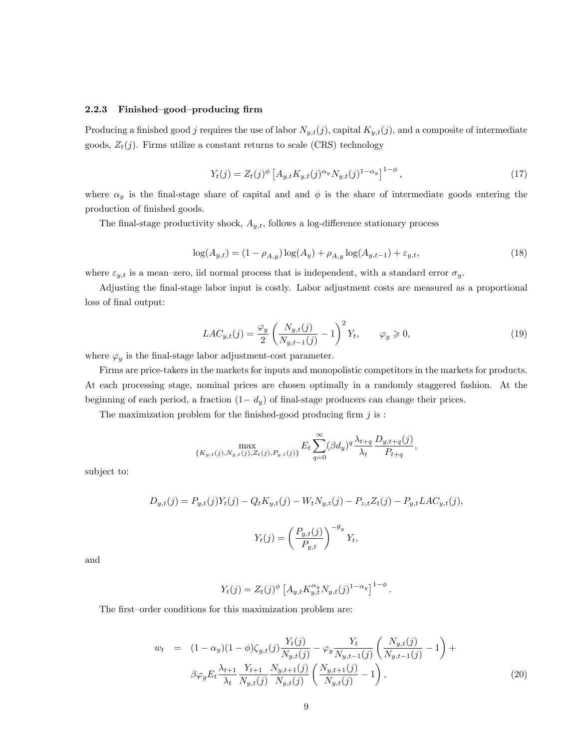#### $2.2.3$  Finished-good-producing firm

Producing a finished good j requires the use of labor  $N_{y,t}(j)$ , capital  $K_{y,t}(j)$ , and a composite of intermediate goods,  $Z_t(j)$ . Firms utilize a constant returns to scale (CRS) technology

$$
Y_t(j) = Z_t(j)^{\phi} \left[ A_{y,t} K_{y,t}(j)^{\alpha_y} N_{y,t}(j)^{1-\alpha_y} \right]^{1-\phi}, \tag{17}
$$

where  $\alpha_y$  is the final-stage share of capital and and  $\phi$  is the share of intermediate goods entering the production of finished goods.

The final-stage productivity shock,  $A_{y,t}$ , follows a log-difference stationary process

$$
\log(A_{y,t}) = (1 - \rho_{A,y}) \log(A_y) + \rho_{A,y} \log(A_{y,t-1}) + \varepsilon_{y,t},\tag{18}
$$

where  $\varepsilon_{y,t}$  is a mean-zero, iid normal process that is independent, with a standard error  $\sigma_y$ .

Adjusting the final-stage labor input is costly. Labor adjustment costs are measured as a proportional loss of final output:

$$
LAC_{y,t}(j) = \frac{\varphi_y}{2} \left( \frac{N_{y,t}(j)}{N_{y,t-1}(j)} - 1 \right)^2 Y_t, \qquad \varphi_y \geq 0,
$$
\n(19)

where  $\varphi_y$  is the final-stage labor adjustment-cost parameter.

Firms are price-takers in the markets for inputs and monopolistic competitors in the markets for products. At each processing stage, nominal prices are chosen optimally in a randomly staggered fashion. At the beginning of each period, a fraction  $(1 - d_y)$  of final-stage producers can change their prices.

The maximization problem for the finished-good producing firm  $j$  is :

$$
\max_{\{K_{y,t}(j), N_{y,t}(j), Z_t(j), P_{y,t}(j)\}} E_t \sum_{q=0}^{\infty} (\beta d_y)^q \frac{\lambda_{t+q}}{\lambda_t} \frac{D_{y,t+q}(j)}{P_{t+q}},
$$

subject to:

$$
D_{y,t}(j) = P_{y,t}(j)Y_t(j) - Q_t K_{y,t}(j) - W_t N_{y,t}(j) - P_{z,t} Z_t(j) - P_{y,t} L A C_{y,t}(j),
$$
  

$$
Y_t(j) = \left(\frac{P_{y,t}(j)}{P_{y,t}}\right)^{-\theta_y} Y_t,
$$

and

$$
Y_t(j) = Z_t(j)^{\phi} \left[ A_{y,t} K_{y,t}^{\alpha_y} N_{y,t}(j)^{1-\alpha_y} \right]^{1-\phi}.
$$

The first-order conditions for this maximization problem are:

$$
w_t = (1 - \alpha_y)(1 - \phi)\zeta_{y,t}(j)\frac{Y_t(j)}{N_{y,t}(j)} - \varphi_y \frac{Y_t}{N_{y,t-1}(j)} \left(\frac{N_{y,t}(j)}{N_{y,t-1}(j)} - 1\right) + \beta\varphi_y E_t \frac{\lambda_{t+1}}{\lambda_t} \frac{Y_{t+1}}{N_{y,t}(j)} \frac{N_{y,t+1}(j)}{N_{y,t}(j)} \left(\frac{N_{y,t+1}(j)}{N_{y,t}(j)} - 1\right),
$$
\n(20)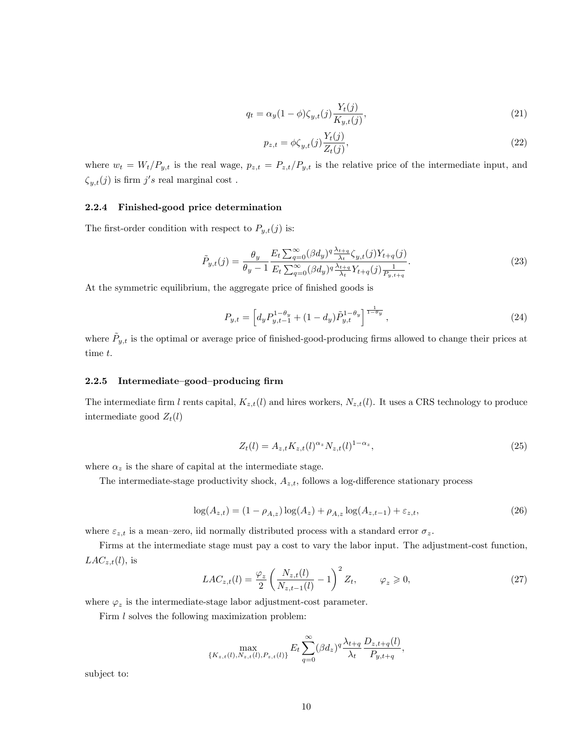$$
q_t = \alpha_y (1 - \phi) \zeta_{y,t}(j) \frac{Y_t(j)}{K_{y,t}(j)},\tag{21}
$$

$$
p_{z,t} = \phi \zeta_{y,t}(j) \frac{Y_t(j)}{Z_t(j)},\tag{22}
$$

where  $w_t = W_t/P_{y,t}$  is the real wage,  $p_{z,t} = P_{z,t}/P_{y,t}$  is the relative price of the intermediate input, and  $\zeta_{y,t}(j)$  is firm j's real marginal cost.

### 2.2.4 Finished-good price determination

The first-order condition with respect to  $P_{y,t}(j)$  is:

$$
\tilde{P}_{y,t}(j) = \frac{\theta_y}{\theta_y - 1} \frac{E_t \sum_{q=0}^{\infty} (\beta d_y)^q \frac{\lambda_{t+q}}{\lambda_t} \zeta_{y,t}(j) Y_{t+q}(j)}{E_t \sum_{q=0}^{\infty} (\beta d_y)^q \frac{\lambda_{t+q}}{\lambda_t} Y_{t+q}(j) \frac{1}{P_{y,t+q}}}.
$$
\n(23)

At the symmetric equilibrium, the aggregate price of finished goods is

$$
P_{y,t} = \left[ d_y P_{y,t-1}^{1-\theta_y} + (1-d_y) \tilde{P}_{y,t}^{1-\theta_y} \right]^{\frac{1}{1-\theta_y}}, \qquad (24)
$$

where  $\tilde{P}_{y,t}$  is the optimal or average price of finished-good-producing firms allowed to change their prices at time t.

#### 2.2.5 Intermediate-good-producing firm

The intermediate firm l rents capital,  $K_{z,t}(l)$  and hires workers,  $N_{z,t}(l)$ . It uses a CRS technology to produce intermediate good  $Z_t(l)$ 

$$
Z_t(l) = A_{z,t} K_{z,t}(l)^{\alpha_z} N_{z,t}(l)^{1-\alpha_z},\tag{25}
$$

where  $\alpha_z$  is the share of capital at the intermediate stage.

The intermediate-stage productivity shock,  $A_{z,t}$ , follows a log-difference stationary process

$$
\log(A_{z,t}) = (1 - \rho_{A,z}) \log(A_z) + \rho_{A,z} \log(A_{z,t-1}) + \varepsilon_{z,t},
$$
\n(26)

where  $\varepsilon_{z,t}$  is a mean-zero, iid normally distributed process with a standard error  $\sigma_z$ .

Firms at the intermediate stage must pay a cost to vary the labor input. The adjustment-cost function,  $LAC_{z,t}(l)$ , is

$$
LAC_{z,t}(l) = \frac{\varphi_z}{2} \left( \frac{N_{z,t}(l)}{N_{z,t-1}(l)} - 1 \right)^2 Z_t, \qquad \varphi_z \geqslant 0,
$$
\n
$$
(27)
$$

where  $\varphi_z$  is the intermediate-stage labor adjustment-cost parameter.

Firm *l* solves the following maximization problem:

$$
\max_{\{K_{z,t}(l), N_{z,t}(l), P_{z,t}(l)\}} E_t \sum_{q=0}^{\infty} (\beta d_z)^q \frac{\lambda_{t+q}}{\lambda_t} \frac{D_{z,t+q}(l)}{P_{y,t+q}},
$$

subject to: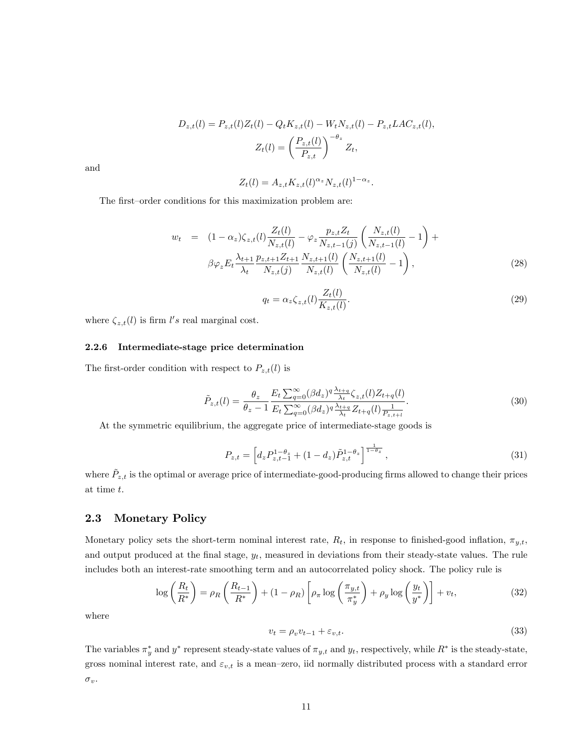$$
D_{z,t}(l) = P_{z,t}(l)Z_t(l) - Q_t K_{z,t}(l) - W_t N_{z,t}(l) - P_{z,t} L A C_{z,t}(l),
$$
  

$$
Z_t(l) = \left(\frac{P_{z,t}(l)}{P_{z,t}}\right)^{-\theta_z} Z_t,
$$

and

$$
Z_t(l) = A_{z,t} K_{z,t}(l)^{\alpha_z} N_{z,t}(l)^{1-\alpha_z}.
$$

The first-order conditions for this maximization problem are:

$$
w_t = (1 - \alpha_z)\zeta_{z,t}(l)\frac{Z_t(l)}{N_{z,t}(l)} - \varphi_z \frac{p_{z,t}Z_t}{N_{z,t-1}(j)} \left(\frac{N_{z,t}(l)}{N_{z,t-1}(l)} - 1\right) + \beta\varphi_z E_t \frac{\lambda_{t+1}}{\lambda_t} \frac{p_{z,t+1}Z_{t+1}}{N_{z,t}(j)} \frac{N_{z,t+1}(l)}{N_{z,t}(l)} \left(\frac{N_{z,t+1}(l)}{N_{z,t}(l)} - 1\right),
$$
\n(28)

$$
q_t = \alpha_z \zeta_{z,t}(l) \frac{Z_t(l)}{K_{z,t}(l)}.\tag{29}
$$

where  $\zeta_{z,t}(l)$  is firm l's real marginal cost.

#### 2.2.6 Intermediate-stage price determination

The first-order condition with respect to  $P_{z,t}(l)$  is

$$
\tilde{P}_{z,t}(l) = \frac{\theta_z}{\theta_z - 1} \frac{E_t \sum_{q=0}^{\infty} (\beta d_z)^q \frac{\lambda_{t+q}}{\lambda_t} \zeta_{z,t}(l) Z_{t+q}(l)}{E_t \sum_{q=0}^{\infty} (\beta d_z)^q \frac{\lambda_{t+q}}{\lambda_t} Z_{t+q}(l) \frac{1}{P_{z,t+l}}}.
$$
\n(30)

At the symmetric equilibrium, the aggregate price of intermediate-stage goods is

$$
P_{z,t} = \left[ d_z P_{z,t-1}^{1-\theta_z} + (1-d_z) \tilde{P}_{z,t}^{1-\theta_z} \right]^{\frac{1}{1-\theta_z}},\tag{31}
$$

where  $\tilde{P}_{z,t}$  is the optimal or average price of intermediate-good-producing firms allowed to change their prices at time t.

### 2.3 Monetary Policy

Monetary policy sets the short-term nominal interest rate,  $R_t$ , in response to finished-good inflation,  $\pi_{y,t}$ , and output produced at the final stage,  $y_t$ , measured in deviations from their steady-state values. The rule includes both an interest-rate smoothing term and an autocorrelated policy shock. The policy rule is

$$
\log\left(\frac{R_t}{R^*}\right) = \rho_R\left(\frac{R_{t-1}}{R^*}\right) + (1 - \rho_R)\left[\rho_\pi \log\left(\frac{\pi_{y,t}}{\pi_y^*}\right) + \rho_y \log\left(\frac{y_t}{y^*}\right)\right] + v_t,\tag{32}
$$

where

$$
v_t = \rho_v v_{t-1} + \varepsilon_{v,t}.\tag{33}
$$

The variables  $\pi_y^*$  and  $y^*$  represent steady-state values of  $\pi_{y,t}$  and  $y_t$ , respectively, while  $R^*$  is the steady-state, gross nominal interest rate, and  $\varepsilon_{v,t}$  is a mean-zero, iid normally distributed process with a standard error  $\sigma_v.$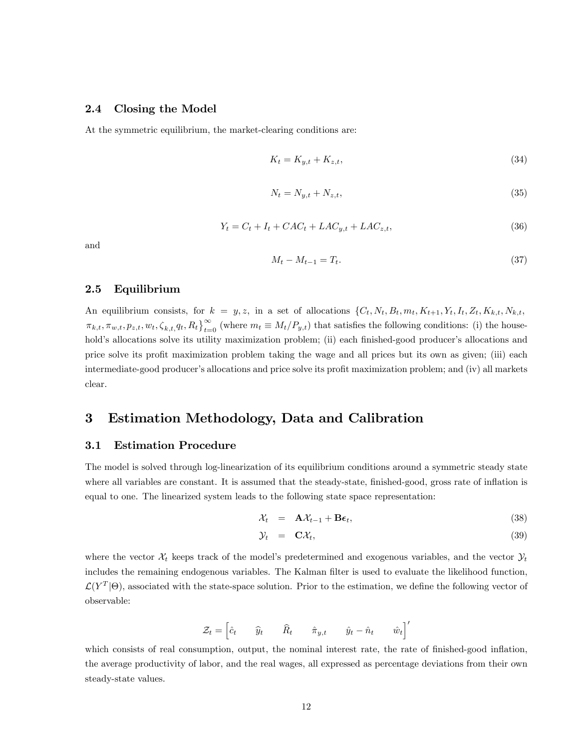### 2.4 Closing the Model

At the symmetric equilibrium, the market-clearing conditions are:

$$
K_t = K_{y,t} + K_{z,t},\tag{34}
$$

$$
N_t = N_{y,t} + N_{z,t},\tag{35}
$$

$$
Y_t = C_t + I_t + CAC_t + LAC_{y,t} + LAC_{z,t},\tag{36}
$$

and

$$
M_t - M_{t-1} = T_t. \t\t(37)
$$

### 2.5 Equilibrium

An equilibrium consists, for  $k = y, z$ , in a set of allocations  $\{C_t, N_t, B_t, m_t, K_{t+1}, Y_t, I_t, Z_t, K_{k,t}, N_{k,t}, \dots\}$  $\pi_{k,t}, \pi_{w,t}, p_{z,t}, w_t, \zeta_{k,t}, q_t, R_t\}_{t=0}^{\infty}$  (where  $m_t \equiv M_t/P_{y,t}$ ) that satisfies the following conditions: (i) the household's allocations solve its utility maximization problem; (ii) each finished-good producer's allocations and price solve its profit maximization problem taking the wage and all prices but its own as given; (iii) each intermediate-good producer's allocations and price solve its profit maximization problem; and (iv) all markets clear.

# 3 Estimation Methodology, Data and Calibration

### 3.1 Estimation Procedure

The model is solved through log-linearization of its equilibrium conditions around a symmetric steady state where all variables are constant. It is assumed that the steady-state, finished-good, gross rate of inflation is equal to one. The linearized system leads to the following state space representation:

$$
\mathcal{X}_t = \mathbf{A}\mathcal{X}_{t-1} + \mathbf{B}\boldsymbol{\epsilon}_t, \tag{38}
$$

$$
\mathcal{Y}_t = \mathbf{C}\mathcal{X}_t, \tag{39}
$$

where the vector  $\mathcal{X}_t$  keeps track of the model's predetermined and exogenous variables, and the vector  $\mathcal{Y}_t$ includes the remaining endogenous variables. The Kalman filter is used to evaluate the likelihood function,  $\mathcal{L}(Y^T|\Theta)$ , associated with the state-space solution. Prior to the estimation, we define the following vector of observable:

$$
\mathcal{Z}_t = \begin{bmatrix} \hat{c}_t & \hat{y}_t & \hat{R}_t & \hat{\pi}_{y,t} & \hat{y}_t - \hat{n}_t & \hat{w}_t \end{bmatrix}'
$$

which consists of real consumption, output, the nominal interest rate, the rate of finished-good inflation, the average productivity of labor, and the real wages, all expressed as percentage deviations from their own steady-state values.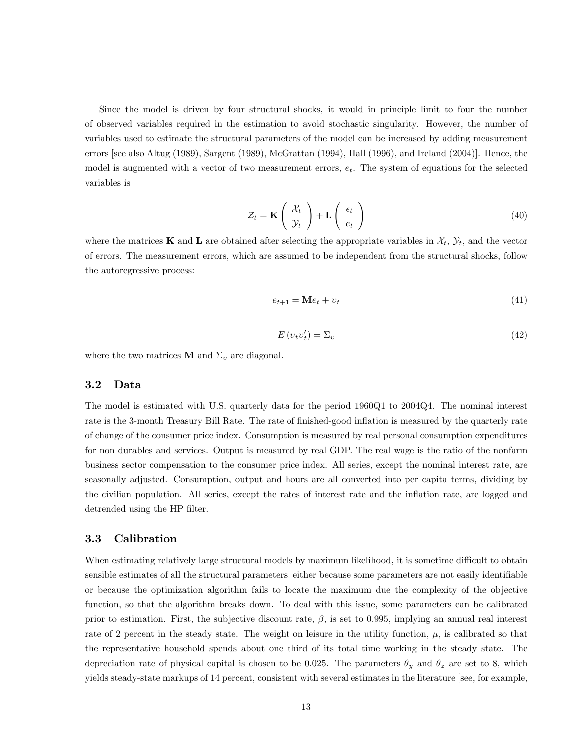Since the model is driven by four structural shocks, it would in principle limit to four the number of observed variables required in the estimation to avoid stochastic singularity. However, the number of variables used to estimate the structural parameters of the model can be increased by adding measurement errors [see also Altug (1989), Sargent (1989), McGrattan (1994), Hall (1996), and Ireland (2004)]. Hence, the model is augmented with a vector of two measurement errors,  $e_t$ . The system of equations for the selected variables is

$$
\mathcal{Z}_t = \mathbf{K} \left( \begin{array}{c} \mathcal{X}_t \\ \mathcal{Y}_t \end{array} \right) + \mathbf{L} \left( \begin{array}{c} \epsilon_t \\ e_t \end{array} \right) \tag{40}
$$

where the matrices **K** and **L** are obtained after selecting the appropriate variables in  $\mathcal{X}_t$ ,  $\mathcal{Y}_t$ , and the vector of errors. The measurement errors, which are assumed to be independent from the structural shocks, follow the autoregressive process:

$$
e_{t+1} = \mathbf{M}e_t + v_t \tag{41}
$$

$$
E(v_t v'_t) = \Sigma_v \tag{42}
$$

where the two matrices **M** and  $\Sigma_v$  are diagonal.

### 3.2 Data

The model is estimated with U.S. quarterly data for the period 1960Q1 to 2004Q4. The nominal interest rate is the 3-month Treasury Bill Rate. The rate of finished-good inflation is measured by the quarterly rate of change of the consumer price index. Consumption is measured by real personal consumption expenditures for non durables and services. Output is measured by real GDP. The real wage is the ratio of the nonfarm business sector compensation to the consumer price index. All series, except the nominal interest rate, are seasonally adjusted. Consumption, output and hours are all converted into per capita terms, dividing by the civilian population. All series, except the rates of interest rate and the inflation rate, are logged and detrended using the HP filter.

#### 3.3 Calibration

When estimating relatively large structural models by maximum likelihood, it is sometime difficult to obtain sensible estimates of all the structural parameters, either because some parameters are not easily identifiable or because the optimization algorithm fails to locate the maximum due the complexity of the objective function, so that the algorithm breaks down. To deal with this issue, some parameters can be calibrated prior to estimation. First, the subjective discount rate,  $\beta$ , is set to 0.995, implying an annual real interest rate of 2 percent in the steady state. The weight on leisure in the utility function,  $\mu$ , is calibrated so that the representative household spends about one third of its total time working in the steady state. The depreciation rate of physical capital is chosen to be 0.025. The parameters  $\theta_y$  and  $\theta_z$  are set to 8, which yields steady-state markups of 14 percent, consistent with several estimates in the literature [see, for example,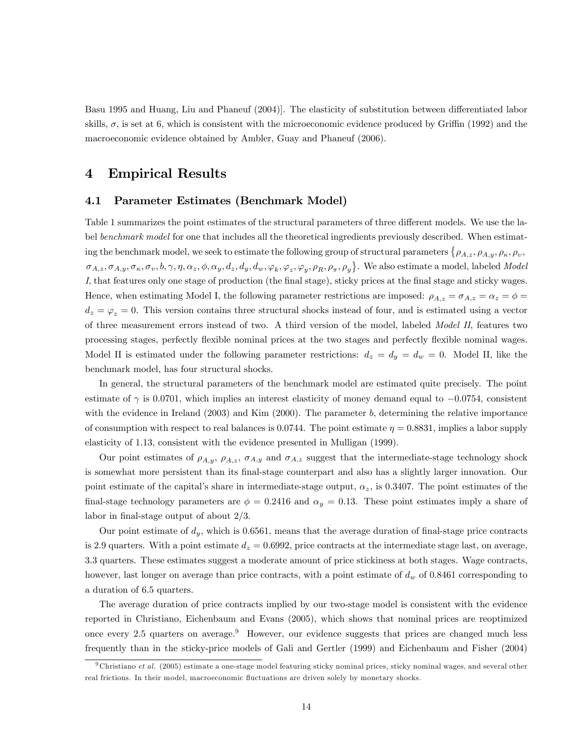Basu 1995 and Huang, Liu and Phaneuf (2004). The elasticity of substitution between differentiated labor skills,  $\sigma$ , is set at 6, which is consistent with the microeconomic evidence produced by Griffin (1992) and the macroeconomic evidence obtained by Ambler, Guay and Phaneuf (2006).

## 4 Empirical Results

### 4.1 Parameter Estimates (Benchmark Model)

Table 1 summarizes the point estimates of the structural parameters of three different models. We use the label benchmark model for one that includes all the theoretical ingredients previously described. When estimating the benchmark model, we seek to estimate the following group of structural parameters A;z; A;y; ; ;  $\sigma_{A,z}, \sigma_{A,y}, \sigma_{\kappa}, \sigma_{v}, b, \gamma, \eta, \alpha_z, \phi, \alpha_y, d_z, d_y, d_w, \varphi_k, \varphi_z, \varphi_y, \rho_R, \rho_\pi, \rho_y\}$ . We also estimate a model, labeled *Model* I, that features only one stage of production (the final stage), sticky prices at the final stage and sticky wages. Hence, when estimating Model I, the following parameter restrictions are imposed:  $\rho_{A,z} = \sigma_{A,z} = \alpha_z = \phi =$  $d_z = \varphi_z = 0$ . This version contains three structural shocks instead of four, and is estimated using a vector of three measurement errors instead of two. A third version of the model, labeled Model II, features two processing stages, perfectly flexible nominal prices at the two stages and perfectly flexible nominal wages. Model II is estimated under the following parameter restrictions:  $d_z = d_y = d_w = 0$ . Model II, like the benchmark model, has four structural shocks.

In general, the structural parameters of the benchmark model are estimated quite precisely. The point estimate of  $\gamma$  is 0.0701, which implies an interest elasticity of money demand equal to  $-0.0754$ , consistent with the evidence in Ireland (2003) and Kim (2000). The parameter b, determining the relative importance of consumption with respect to real balances is 0.0744. The point estimate  $\eta = 0.8831$ , implies a labor supply elasticity of 1.13, consistent with the evidence presented in Mulligan (1999).

Our point estimates of  $\rho_{A,y}$ ,  $\rho_{A,z}$ ,  $\sigma_{A,y}$  and  $\sigma_{A,z}$  suggest that the intermediate-stage technology shock is somewhat more persistent than its Önal-stage counterpart and also has a slightly larger innovation. Our point estimate of the capital's share in intermediate-stage output,  $\alpha_z$ , is 0.3407. The point estimates of the final-stage technology parameters are  $\phi = 0.2416$  and  $\alpha_y = 0.13$ . These point estimates imply a share of labor in final-stage output of about  $2/3$ .

Our point estimate of  $d_y$ , which is 0.6561, means that the average duration of final-stage price contracts is 2.9 quarters. With a point estimate  $d_z = 0.6992$ , price contracts at the intermediate stage last, on average, 3.3 quarters. These estimates suggest a moderate amount of price stickiness at both stages. Wage contracts, however, last longer on average than price contracts, with a point estimate of  $d_w$  of 0.8461 corresponding to a duration of 6.5 quarters.

The average duration of price contracts implied by our two-stage model is consistent with the evidence reported in Christiano, Eichenbaum and Evans (2005), which shows that nominal prices are reoptimized once every 2.5 quarters on average.<sup>9</sup> However, our evidence suggests that prices are changed much less frequently than in the sticky-price models of Gali and Gertler (1999) and Eichenbaum and Fisher (2004)

 $9$  Christiano et al. (2005) estimate a one-stage model featuring sticky nominal prices, sticky nominal wages, and several other real frictions. In their model, macroeconomic fluctuations are driven solely by monetary shocks.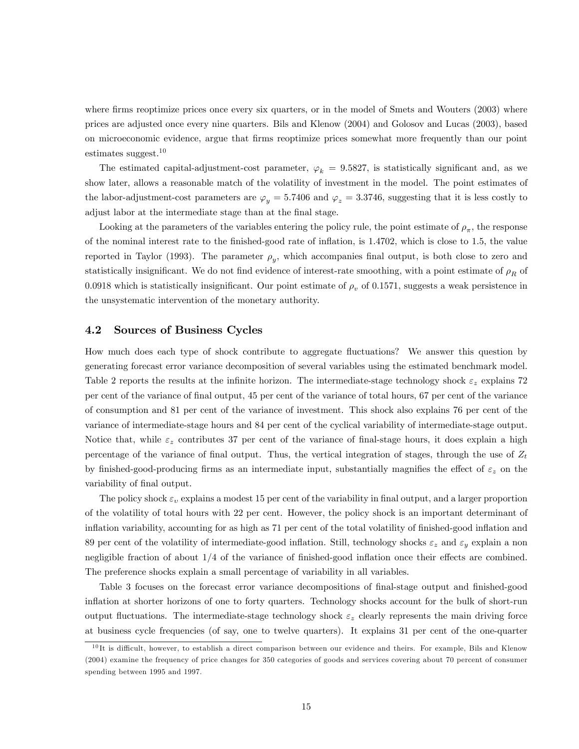where firms reoptimize prices once every six quarters, or in the model of Smets and Wouters (2003) where prices are adjusted once every nine quarters. Bils and Klenow (2004) and Golosov and Lucas (2003), based on microeconomic evidence, argue that Örms reoptimize prices somewhat more frequently than our point estimates suggest.<sup>10</sup>

The estimated capital-adjustment-cost parameter,  $\varphi_k = 9.5827$ , is statistically significant and, as we show later, allows a reasonable match of the volatility of investment in the model. The point estimates of the labor-adjustment-cost parameters are  $\varphi_y = 5.7406$  and  $\varphi_z = 3.3746$ , suggesting that it is less costly to adjust labor at the intermediate stage than at the final stage.

Looking at the parameters of the variables entering the policy rule, the point estimate of  $\rho_{\pi}$ , the response of the nominal interest rate to the Önished-good rate of ináation, is 1:4702, which is close to 1.5, the value reported in Taylor (1993). The parameter  $\rho_y$ , which accompanies final output, is both close to zero and statistically insignificant. We do not find evidence of interest-rate smoothing, with a point estimate of  $\rho_R$  of 0.0918 which is statistically insignificant. Our point estimate of  $\rho<sub>v</sub>$  of 0.1571, suggests a weak persistence in the unsystematic intervention of the monetary authority.

### 4.2 Sources of Business Cycles

How much does each type of shock contribute to aggregate áuctuations? We answer this question by generating forecast error variance decomposition of several variables using the estimated benchmark model. Table 2 reports the results at the infinite horizon. The intermediate-stage technology shock  $\varepsilon_z$  explains 72 per cent of the variance of Önal output, 45 per cent of the variance of total hours, 67 per cent of the variance of consumption and 81 per cent of the variance of investment. This shock also explains 76 per cent of the variance of intermediate-stage hours and 84 per cent of the cyclical variability of intermediate-stage output. Notice that, while  $\varepsilon_z$  contributes 37 per cent of the variance of final-stage hours, it does explain a high percentage of the variance of final output. Thus, the vertical integration of stages, through the use of  $Z_t$ by finished-good-producing firms as an intermediate input, substantially magnifies the effect of  $\varepsilon_z$  on the variability of final output.

The policy shock  $\varepsilon_v$  explains a modest 15 per cent of the variability in final output, and a larger proportion of the volatility of total hours with 22 per cent. However, the policy shock is an important determinant of inflation variability, accounting for as high as 71 per cent of the total volatility of finished-good inflation and 89 per cent of the volatility of intermediate-good inflation. Still, technology shocks  $\varepsilon_z$  and  $\varepsilon_y$  explain a non negligible fraction of about  $1/4$  of the variance of finished-good inflation once their effects are combined. The preference shocks explain a small percentage of variability in all variables.

Table 3 focuses on the forecast error variance decompositions of final-stage output and finished-good ináation at shorter horizons of one to forty quarters. Technology shocks account for the bulk of short-run output fluctuations. The intermediate-stage technology shock  $\varepsilon_z$  clearly represents the main driving force at business cycle frequencies (of say, one to twelve quarters). It explains 31 per cent of the one-quarter

 $10$ It is difficult, however, to establish a direct comparison between our evidence and theirs. For example, Bils and Klenow (2004) examine the frequency of price changes for 350 categories of goods and services covering about 70 percent of consumer spending between 1995 and 1997.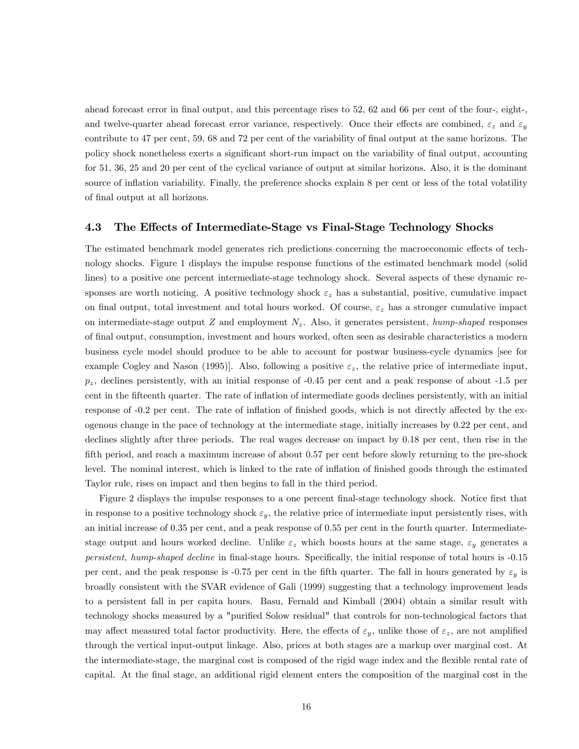ahead forecast error in final output, and this percentage rises to 52, 62 and 66 per cent of the four-, eight-, and twelve-quarter ahead forecast error variance, respectively. Once their effects are combined,  $\varepsilon_z$  and  $\varepsilon_y$ contribute to 47 per cent, 59, 68 and 72 per cent of the variability of final output at the same horizons. The policy shock nonetheless exerts a significant short-run impact on the variability of final output, accounting for 51, 36, 25 and 20 per cent of the cyclical variance of output at similar horizons. Also, it is the dominant source of inflation variability. Finally, the preference shocks explain 8 per cent or less of the total volatility of final output at all horizons.

#### 4.3 The Effects of Intermediate-Stage vs Final-Stage Technology Shocks

The estimated benchmark model generates rich predictions concerning the macroeconomic effects of technology shocks. Figure 1 displays the impulse response functions of the estimated benchmark model (solid lines) to a positive one percent intermediate-stage technology shock. Several aspects of these dynamic responses are worth noticing. A positive technology shock  $\varepsilon_z$  has a substantial, positive, cumulative impact on final output, total investment and total hours worked. Of course,  $\varepsilon_z$  has a stronger cumulative impact on intermediate-stage output  $Z$  and employment  $N_z$ . Also, it generates persistent, hump-shaped responses of Önal output, consumption, investment and hours worked, often seen as desirable characteristics a modern business cycle model should produce to be able to account for postwar business-cycle dynamics [see for example Cogley and Nason (1995). Also, following a positive  $\varepsilon_z$ , the relative price of intermediate input,  $p_z$ , declines persistently, with an initial response of  $-0.45$  per cent and a peak response of about  $-1.5$  per cent in the Öfteenth quarter. The rate of ináation of intermediate goods declines persistently, with an initial response of -0.2 per cent. The rate of inflation of finished goods, which is not directly affected by the exogenous change in the pace of technology at the intermediate stage, initially increases by 0.22 per cent, and declines slightly after three periods. The real wages decrease on impact by 0.18 per cent, then rise in the fifth period, and reach a maximum increase of about  $0.57$  per cent before slowly returning to the pre-shock level. The nominal interest, which is linked to the rate of inflation of finished goods through the estimated Taylor rule, rises on impact and then begins to fall in the third period.

Figure 2 displays the impulse responses to a one percent final-stage technology shock. Notice first that in response to a positive technology shock  $\varepsilon_y$ , the relative price of intermediate input persistently rises, with an initial increase of 0.35 per cent, and a peak response of 0.55 per cent in the fourth quarter. Intermediatestage output and hours worked decline. Unlike  $\varepsilon_z$  which boosts hours at the same stage,  $\varepsilon_y$  generates a persistent, hump-shaped decline in final-stage hours. Specifically, the initial response of total hours is -0.15 per cent, and the peak response is -0.75 per cent in the fifth quarter. The fall in hours generated by  $\varepsilon_y$  is broadly consistent with the SVAR evidence of Gali (1999) suggesting that a technology improvement leads to a persistent fall in per capita hours. Basu, Fernald and Kimball (2004) obtain a similar result with technology shocks measured by a "purified Solow residual" that controls for non-technological factors that may affect measured total factor productivity. Here, the effects of  $\varepsilon_y$ , unlike those of  $\varepsilon_z$ , are not amplified through the vertical input-output linkage. Also, prices at both stages are a markup over marginal cost. At the intermediate-stage, the marginal cost is composed of the rigid wage index and the flexible rental rate of capital. At the final stage, an additional rigid element enters the composition of the marginal cost in the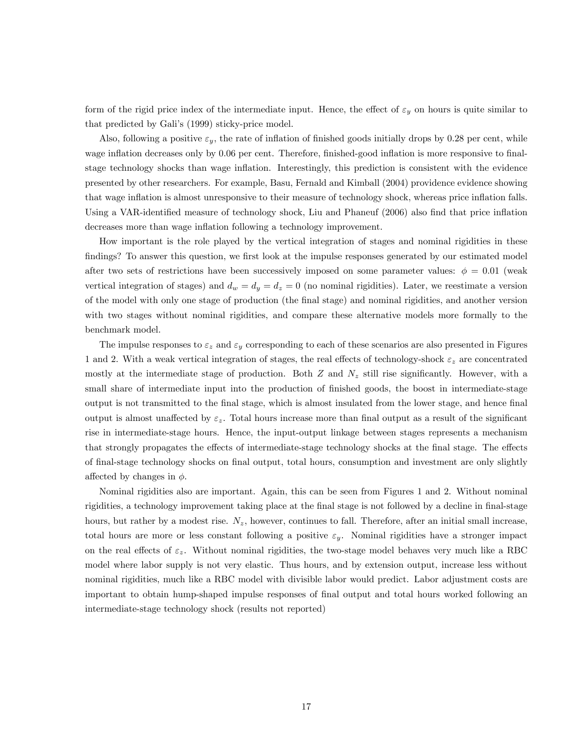form of the rigid price index of the intermediate input. Hence, the effect of  $\varepsilon_y$  on hours is quite similar to that predicted by Gali's (1999) sticky-price model.

Also, following a positive  $\varepsilon_y$ , the rate of inflation of finished goods initially drops by 0.28 per cent, while wage inflation decreases only by 0.06 per cent. Therefore, finished-good inflation is more responsive to finalstage technology shocks than wage inflation. Interestingly, this prediction is consistent with the evidence presented by other researchers. For example, Basu, Fernald and Kimball (2004) providence evidence showing that wage inflation is almost unresponsive to their measure of technology shock, whereas price inflation falls. Using a VAR-identified measure of technology shock, Liu and Phaneuf (2006) also find that price inflation decreases more than wage inflation following a technology improvement.

How important is the role played by the vertical integration of stages and nominal rigidities in these findings? To answer this question, we first look at the impulse responses generated by our estimated model after two sets of restrictions have been successively imposed on some parameter values:  $\phi = 0.01$  (weak vertical integration of stages) and  $d_w = d_y = d_z = 0$  (no nominal rigidities). Later, we reestimate a version of the model with only one stage of production (the Önal stage) and nominal rigidities, and another version with two stages without nominal rigidities, and compare these alternative models more formally to the benchmark model.

The impulse responses to  $\varepsilon_z$  and  $\varepsilon_y$  corresponding to each of these scenarios are also presented in Figures 1 and 2. With a weak vertical integration of stages, the real effects of technology-shock  $\varepsilon_z$  are concentrated mostly at the intermediate stage of production. Both  $Z$  and  $N_z$  still rise significantly. However, with a small share of intermediate input into the production of finished goods, the boost in intermediate-stage output is not transmitted to the Önal stage, which is almost insulated from the lower stage, and hence Önal output is almost unaffected by  $\varepsilon_z$ . Total hours increase more than final output as a result of the significant rise in intermediate-stage hours. Hence, the input-output linkage between stages represents a mechanism that strongly propagates the effects of intermediate-stage technology shocks at the final stage. The effects of Önal-stage technology shocks on Önal output, total hours, consumption and investment are only slightly affected by changes in  $\phi$ .

Nominal rigidities also are important. Again, this can be seen from Figures 1 and 2. Without nominal rigidities, a technology improvement taking place at the final stage is not followed by a decline in final-stage hours, but rather by a modest rise.  $N_z$ , however, continues to fall. Therefore, after an initial small increase, total hours are more or less constant following a positive  $\varepsilon_y$ . Nominal rigidities have a stronger impact on the real effects of  $\varepsilon_z$ . Without nominal rigidities, the two-stage model behaves very much like a RBC model where labor supply is not very elastic. Thus hours, and by extension output, increase less without nominal rigidities, much like a RBC model with divisible labor would predict. Labor adjustment costs are important to obtain hump-shaped impulse responses of final output and total hours worked following an intermediate-stage technology shock (results not reported)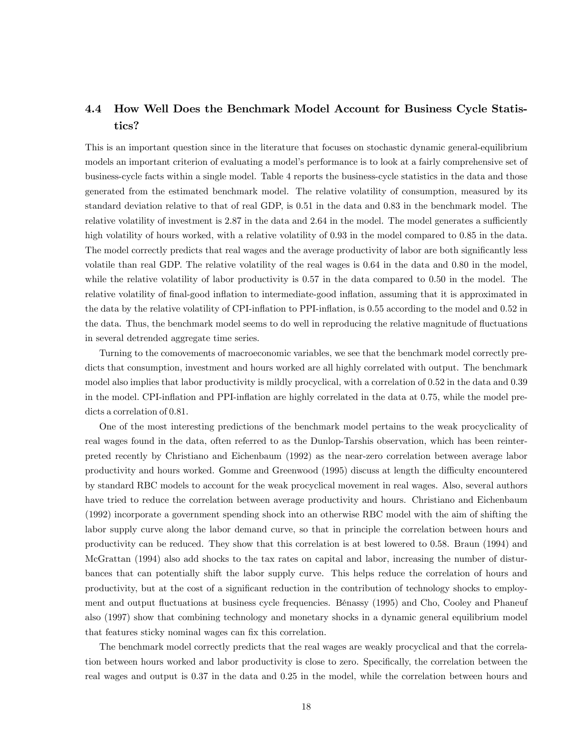# 4.4 How Well Does the Benchmark Model Account for Business Cycle Statistics?

This is an important question since in the literature that focuses on stochastic dynamic general-equilibrium models an important criterion of evaluating a model's performance is to look at a fairly comprehensive set of business-cycle facts within a single model. Table 4 reports the business-cycle statistics in the data and those generated from the estimated benchmark model. The relative volatility of consumption, measured by its standard deviation relative to that of real GDP, is 0.51 in the data and 0.83 in the benchmark model. The relative volatility of investment is 2.87 in the data and 2.64 in the model. The model generates a sufficiently high volatility of hours worked, with a relative volatility of 0.93 in the model compared to 0.85 in the data. The model correctly predicts that real wages and the average productivity of labor are both significantly less volatile than real GDP. The relative volatility of the real wages is 0.64 in the data and 0.80 in the model, while the relative volatility of labor productivity is 0.57 in the data compared to 0.50 in the model. The relative volatility of final-good inflation to intermediate-good inflation, assuming that it is approximated in the data by the relative volatility of CPI-inflation to PPI-inflation, is 0.55 according to the model and 0.52 in the data. Thus, the benchmark model seems to do well in reproducing the relative magnitude of fluctuations in several detrended aggregate time series.

Turning to the comovements of macroeconomic variables, we see that the benchmark model correctly predicts that consumption, investment and hours worked are all highly correlated with output. The benchmark model also implies that labor productivity is mildly procyclical, with a correlation of 0.52 in the data and 0.39 in the model. CPI-inflation and PPI-inflation are highly correlated in the data at 0.75, while the model predicts a correlation of 0.81.

One of the most interesting predictions of the benchmark model pertains to the weak procyclicality of real wages found in the data, often referred to as the Dunlop-Tarshis observation, which has been reinterpreted recently by Christiano and Eichenbaum (1992) as the near-zero correlation between average labor productivity and hours worked. Gomme and Greenwood (1995) discuss at length the difficulty encountered by standard RBC models to account for the weak procyclical movement in real wages. Also, several authors have tried to reduce the correlation between average productivity and hours. Christiano and Eichenbaum (1992) incorporate a government spending shock into an otherwise RBC model with the aim of shifting the labor supply curve along the labor demand curve, so that in principle the correlation between hours and productivity can be reduced. They show that this correlation is at best lowered to 0.58. Braun (1994) and McGrattan (1994) also add shocks to the tax rates on capital and labor, increasing the number of disturbances that can potentially shift the labor supply curve. This helps reduce the correlation of hours and productivity, but at the cost of a significant reduction in the contribution of technology shocks to employment and output fluctuations at business cycle frequencies. Bénassy (1995) and Cho, Cooley and Phaneuf also (1997) show that combining technology and monetary shocks in a dynamic general equilibrium model that features sticky nominal wages can fix this correlation.

The benchmark model correctly predicts that the real wages are weakly procyclical and that the correlation between hours worked and labor productivity is close to zero. Specifically, the correlation between the real wages and output is 0.37 in the data and 0.25 in the model, while the correlation between hours and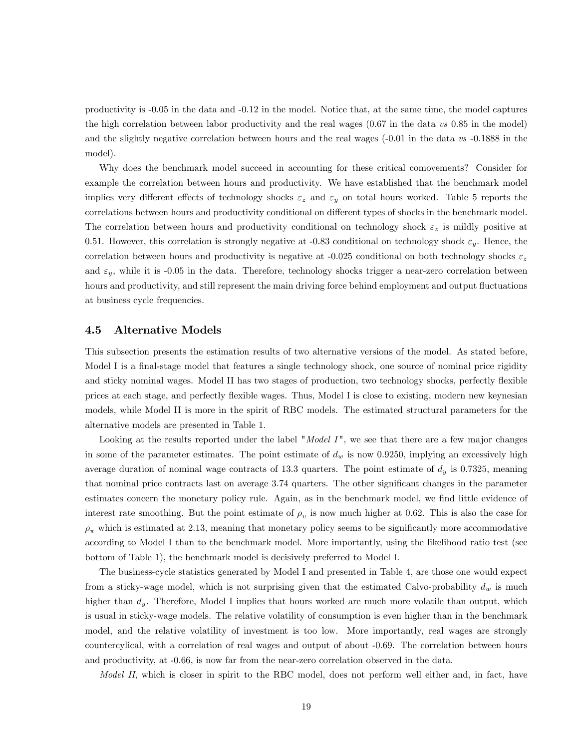productivity is -0.05 in the data and -0.12 in the model. Notice that, at the same time, the model captures the high correlation between labor productivity and the real wages  $(0.67 \text{ in the data } vs \text{ } 0.85 \text{ in the model})$ and the slightly negative correlation between hours and the real wages  $(-0.01$  in the data vs  $-0.1888$  in the model).

Why does the benchmark model succeed in accounting for these critical comovements? Consider for example the correlation between hours and productivity. We have established that the benchmark model implies very different effects of technology shocks  $\varepsilon_z$  and  $\varepsilon_y$  on total hours worked. Table 5 reports the correlations between hours and productivity conditional on different types of shocks in the benchmark model. The correlation between hours and productivity conditional on technology shock  $\varepsilon_z$  is mildly positive at 0.51. However, this correlation is strongly negative at -0.83 conditional on technology shock  $\varepsilon_y$ . Hence, the correlation between hours and productivity is negative at -0.025 conditional on both technology shocks  $\varepsilon_z$ and  $\varepsilon_y$ , while it is -0.05 in the data. Therefore, technology shocks trigger a near-zero correlation between hours and productivity, and still represent the main driving force behind employment and output fluctuations at business cycle frequencies.

### 4.5 Alternative Models

This subsection presents the estimation results of two alternative versions of the model. As stated before, Model I is a final-stage model that features a single technology shock, one source of nominal price rigidity and sticky nominal wages. Model II has two stages of production, two technology shocks, perfectly flexible prices at each stage, and perfectly áexible wages. Thus, Model I is close to existing, modern new keynesian models, while Model II is more in the spirit of RBC models. The estimated structural parameters for the alternative models are presented in Table 1.

Looking at the results reported under the label "Model  $I$ ", we see that there are a few major changes in some of the parameter estimates. The point estimate of  $d_w$  is now 0.9250, implying an excessively high average duration of nominal wage contracts of 13.3 quarters. The point estimate of  $d_y$  is 0.7325, meaning that nominal price contracts last on average 3.74 quarters. The other significant changes in the parameter estimates concern the monetary policy rule. Again, as in the benchmark model, we find little evidence of interest rate smoothing. But the point estimate of  $\rho_v$  is now much higher at 0.62. This is also the case for  $\rho_{\pi}$  which is estimated at 2.13, meaning that monetary policy seems to be significantly more accommodative according to Model I than to the benchmark model. More importantly, using the likelihood ratio test (see bottom of Table 1), the benchmark model is decisively preferred to Model I.

The business-cycle statistics generated by Model I and presented in Table 4, are those one would expect from a sticky-wage model, which is not surprising given that the estimated Calvo-probability  $d_w$  is much higher than  $d_y$ . Therefore, Model I implies that hours worked are much more volatile than output, which is usual in sticky-wage models. The relative volatility of consumption is even higher than in the benchmark model, and the relative volatility of investment is too low. More importantly, real wages are strongly countercylical, with a correlation of real wages and output of about -0.69. The correlation between hours and productivity, at -0.66, is now far from the near-zero correlation observed in the data.

Model II, which is closer in spirit to the RBC model, does not perform well either and, in fact, have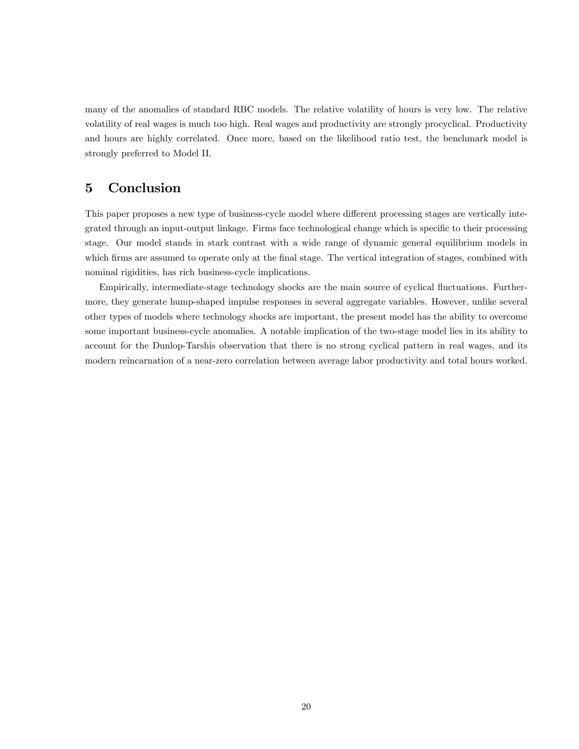many of the anomalies of standard RBC models. The relative volatility of hours is very low. The relative volatility of real wages is much too high. Real wages and productivity are strongly procyclical. Productivity and hours are highly correlated. Once more, based on the likelihood ratio test, the benchmark model is strongly preferred to Model II.

# 5 Conclusion

This paper proposes a new type of business-cycle model where different processing stages are vertically integrated through an input-output linkage. Firms face technological change which is specific to their processing stage. Our model stands in stark contrast with a wide range of dynamic general equilibrium models in which firms are assumed to operate only at the final stage. The vertical integration of stages, combined with nominal rigidities, has rich business-cycle implications.

Empirically, intermediate-stage technology shocks are the main source of cyclical fluctuations. Furthermore, they generate hump-shaped impulse responses in several aggregate variables. However, unlike several other types of models where technology shocks are important, the present model has the ability to overcome some important business-cycle anomalies. A notable implication of the two-stage model lies in its ability to account for the Dunlop-Tarshis observation that there is no strong cyclical pattern in real wages, and its modern reincarnation of a near-zero correlation between average labor productivity and total hours worked.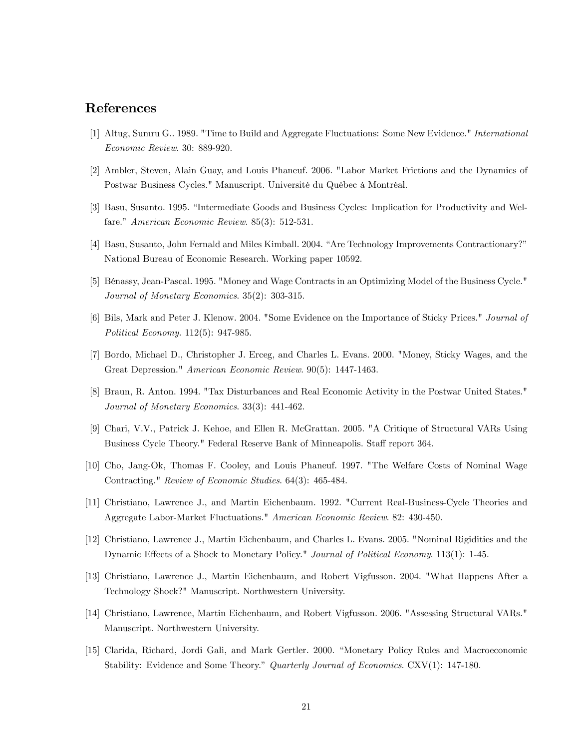### References

- [1] Altug, Sumru G.. 1989. "Time to Build and Aggregate Fluctuations: Some New Evidence." International Economic Review. 30: 889-920.
- [2] Ambler, Steven, Alain Guay, and Louis Phaneuf. 2006. "Labor Market Frictions and the Dynamics of Postwar Business Cycles." Manuscript. Université du Québec à Montréal.
- [3] Basu, Susanto. 1995. "Intermediate Goods and Business Cycles: Implication for Productivity and Welfare." American Economic Review.  $85(3)$ : 512-531.
- [4] Basu, Susanto, John Fernald and Miles Kimball. 2004. "Are Technology Improvements Contractionary?" National Bureau of Economic Research. Working paper 10592.
- [5] BÈnassy, Jean-Pascal. 1995. "Money and Wage Contracts in an Optimizing Model of the Business Cycle." Journal of Monetary Economics. 35(2): 303-315.
- [6] Bils, Mark and Peter J. Klenow. 2004. "Some Evidence on the Importance of Sticky Prices." Journal of Political Economy. 112(5): 947-985.
- [7] Bordo, Michael D., Christopher J. Erceg, and Charles L. Evans. 2000. "Money, Sticky Wages, and the Great Depression." American Economic Review. 90(5): 1447-1463.
- [8] Braun, R. Anton. 1994. "Tax Disturbances and Real Economic Activity in the Postwar United States." Journal of Monetary Economics. 33(3): 441-462.
- [9] Chari, V.V., Patrick J. Kehoe, and Ellen R. McGrattan. 2005. "A Critique of Structural VARs Using Business Cycle Theory." Federal Reserve Bank of Minneapolis. Staff report 364.
- [10] Cho, Jang-Ok, Thomas F. Cooley, and Louis Phaneuf. 1997. "The Welfare Costs of Nominal Wage Contracting." Review of Economic Studies. 64(3): 465-484.
- [11] Christiano, Lawrence J., and Martin Eichenbaum. 1992. "Current Real-Business-Cycle Theories and Aggregate Labor-Market Fluctuations." American Economic Review. 82: 430-450.
- [12] Christiano, Lawrence J., Martin Eichenbaum, and Charles L. Evans. 2005. "Nominal Rigidities and the Dynamic Effects of a Shock to Monetary Policy." Journal of Political Economy. 113(1): 1-45.
- [13] Christiano, Lawrence J., Martin Eichenbaum, and Robert Vigfusson. 2004. "What Happens After a Technology Shock?" Manuscript. Northwestern University.
- [14] Christiano, Lawrence, Martin Eichenbaum, and Robert Vigfusson. 2006. "Assessing Structural VARs." Manuscript. Northwestern University.
- [15] Clarida, Richard, Jordi Gali, and Mark Gertler. 2000. "Monetary Policy Rules and Macroeconomic Stability: Evidence and Some Theory." Quarterly Journal of Economics. CXV(1): 147-180.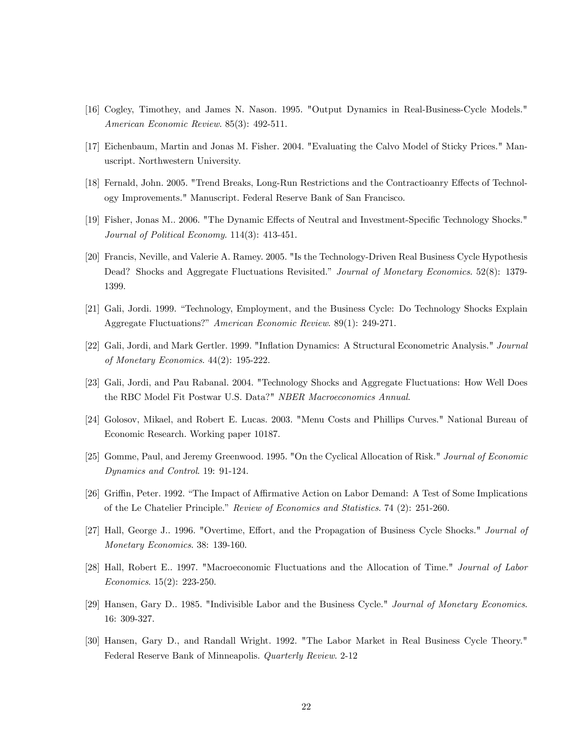- [16] Cogley, Timothey, and James N. Nason. 1995. "Output Dynamics in Real-Business-Cycle Models." American Economic Review. 85(3): 492-511.
- [17] Eichenbaum, Martin and Jonas M. Fisher. 2004. "Evaluating the Calvo Model of Sticky Prices." Manuscript. Northwestern University.
- [18] Fernald, John. 2005. "Trend Breaks, Long-Run Restrictions and the Contractioanry Effects of Technology Improvements." Manuscript. Federal Reserve Bank of San Francisco.
- [19] Fisher, Jonas M.. 2006. "The Dynamic Effects of Neutral and Investment-Specific Technology Shocks." Journal of Political Economy. 114(3): 413-451.
- [20] Francis, Neville, and Valerie A. Ramey. 2005. "Is the Technology-Driven Real Business Cycle Hypothesis Dead? Shocks and Aggregate Fluctuations Revisited." Journal of Monetary Economics. 52(8): 1379-1399.
- [21] Gali, Jordi. 1999. "Technology, Employment, and the Business Cycle: Do Technology Shocks Explain Aggregate Fluctuations?" American Economic Review. 89(1): 249-271.
- [22] Gali, Jordi, and Mark Gertler. 1999. "Inflation Dynamics: A Structural Econometric Analysis." Journal of Monetary Economics. 44(2): 195-222.
- [23] Gali, Jordi, and Pau Rabanal. 2004. "Technology Shocks and Aggregate Fluctuations: How Well Does the RBC Model Fit Postwar U.S. Data?" NBER Macroeconomics Annual.
- [24] Golosov, Mikael, and Robert E. Lucas. 2003. "Menu Costs and Phillips Curves." National Bureau of Economic Research. Working paper 10187.
- [25] Gomme, Paul, and Jeremy Greenwood. 1995. "On the Cyclical Allocation of Risk." Journal of Economic Dynamics and Control. 19: 91-124.
- [26] Griffin, Peter. 1992. "The Impact of Affirmative Action on Labor Demand: A Test of Some Implications of the Le Chatelier Principle." Review of Economics and Statistics. 74 (2): 251-260.
- [27] Hall, George J.. 1996. "Overtime, Effort, and the Propagation of Business Cycle Shocks." Journal of Monetary Economics. 38: 139-160.
- [28] Hall, Robert E.. 1997. "Macroeconomic Fluctuations and the Allocation of Time." Journal of Labor Economics. 15(2): 223-250.
- [29] Hansen, Gary D.. 1985. "Indivisible Labor and the Business Cycle." Journal of Monetary Economics. 16: 309-327.
- [30] Hansen, Gary D., and Randall Wright. 1992. "The Labor Market in Real Business Cycle Theory." Federal Reserve Bank of Minneapolis. Quarterly Review. 2-12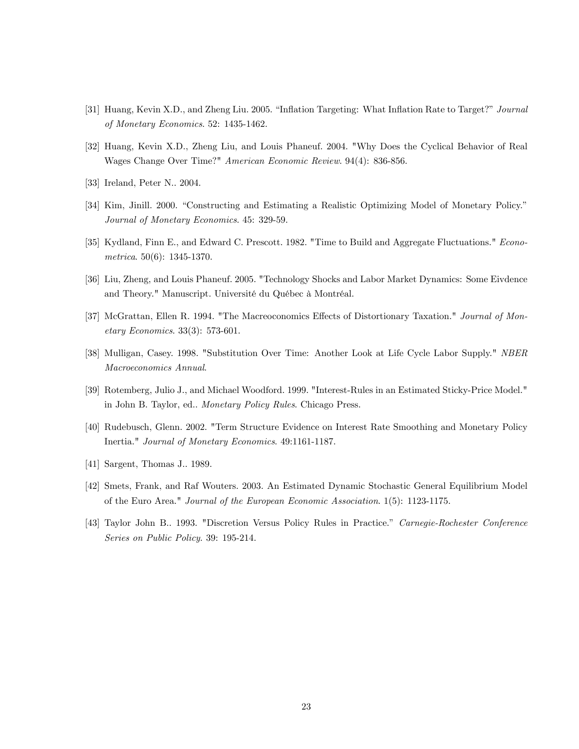- [31] Huang, Kevin X.D., and Zheng Liu. 2005. "Inflation Targeting: What Inflation Rate to Target?" Journal of Monetary Economics. 52: 1435-1462.
- [32] Huang, Kevin X.D., Zheng Liu, and Louis Phaneuf. 2004. "Why Does the Cyclical Behavior of Real Wages Change Over Time?" American Economic Review. 94(4): 836-856.
- [33] Ireland, Peter N.. 2004.
- [34] Kim, Jinill. 2000. "Constructing and Estimating a Realistic Optimizing Model of Monetary Policy." Journal of Monetary Economics. 45: 329-59.
- [35] Kydland, Finn E., and Edward C. Prescott. 1982. "Time to Build and Aggregate Fluctuations." Econometrica. 50(6): 1345-1370.
- [36] Liu, Zheng, and Louis Phaneuf. 2005. "Technology Shocks and Labor Market Dynamics: Some Eivdence and Theory." Manuscript. Université du Québec à Montréal.
- [37] McGrattan, Ellen R. 1994. "The Macreoconomics Effects of Distortionary Taxation." Journal of Monetary Economics. 33(3): 573-601.
- [38] Mulligan, Casey. 1998. "Substitution Over Time: Another Look at Life Cycle Labor Supply." NBER Macroeconomics Annual.
- [39] Rotemberg, Julio J., and Michael Woodford. 1999. "Interest-Rules in an Estimated Sticky-Price Model." in John B. Taylor, ed.. Monetary Policy Rules. Chicago Press.
- [40] Rudebusch, Glenn. 2002. "Term Structure Evidence on Interest Rate Smoothing and Monetary Policy Inertia." Journal of Monetary Economics. 49:1161-1187.
- [41] Sargent, Thomas J.. 1989.
- [42] Smets, Frank, and Raf Wouters. 2003. An Estimated Dynamic Stochastic General Equilibrium Model of the Euro Area." Journal of the European Economic Association. 1(5): 1123-1175.
- [43] Taylor John B.. 1993. "Discretion Versus Policy Rules in Practice." Carnegie-Rochester Conference Series on Public Policy. 39: 195-214.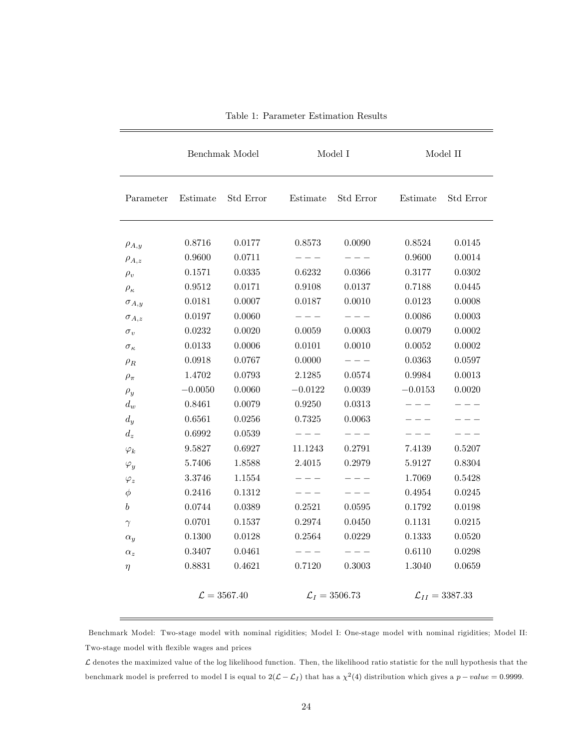|                   | Benchmak Model |                         | Model I   |                           | Model II  |                              |
|-------------------|----------------|-------------------------|-----------|---------------------------|-----------|------------------------------|
| Parameter         | Estimate       | Std Error               | Estimate  | Std Error                 | Estimate  | Std Error                    |
| $\rho_{A,y}$      | 0.8716         | 0.0177                  | 0.8573    | 0.0090                    | 0.8524    | 0.0145                       |
| $\rho_{A,z}$      | 0.9600         | 0.0711                  | $- - -$   | $- - -$                   | 0.9600    | 0.0014                       |
| $\rho_v$          | 0.1571         | 0.0335                  | 0.6232    | 0.0366                    | 0.3177    | 0.0302                       |
| $\rho_{\kappa}$   | 0.9512         | 0.0171                  | 0.9108    | 0.0137                    | 0.7188    | 0.0445                       |
| $\sigma_{A,y}$    | 0.0181         | 0.0007                  | 0.0187    | 0.0010                    | 0.0123    | 0.0008                       |
| $\sigma_{A,z}$    | 0.0197         | 0.0060                  |           |                           | 0.0086    | 0.0003                       |
| $\sigma_v$        | 0.0232         | 0.0020                  | 0.0059    | 0.0003                    | 0.0079    | 0.0002                       |
| $\sigma_{\kappa}$ | 0.0133         | 0.0006                  | 0.0101    | 0.0010                    | 0.0052    | 0.0002                       |
| $\rho_R$          | 0.0918         | 0.0767                  | 0.0000    | $- - -$                   | 0.0363    | 0.0597                       |
| $\rho_{\pi}$      | 1.4702         | 0.0793                  | 2.1285    | 0.0574                    | 0.9984    | 0.0013                       |
| $\rho_y$          | $-0.0050$      | 0.0060                  | $-0.0122$ | 0.0039                    | $-0.0153$ | 0.0020                       |
| $d_w$             | 0.8461         | 0.0079                  | 0.9250    | 0.0313                    |           |                              |
| $d_y$             | 0.6561         | 0.0256                  | 0.7325    | 0.0063                    |           |                              |
| $d_z$             | 0.6992         | 0.0539                  | $- - -$   | $- - -$                   |           |                              |
| $\varphi_k$       | 9.5827         | 0.6927                  | 11.1243   | 0.2791                    | 7.4139    | 0.5207                       |
| $\varphi_y$       | 5.7406         | 1.8588                  | 2.4015    | 0.2979                    | 5.9127    | 0.8304                       |
| $\varphi_z$       | 3.3746         | 1.1554                  | $  -$     | $  -$                     | 1.7069    | 0.5428                       |
| φ                 | 0.2416         | 0.1312                  |           |                           | 0.4954    | 0.0245                       |
| b                 | 0.0744         | 0.0389                  | 0.2521    | $\,0.0595\,$              | 0.1792    | 0.0198                       |
| $\gamma$          | 0.0701         | 0.1537                  | 0.2974    | 0.0450                    | 0.1131    | 0.0215                       |
| $\alpha_y$        | 0.1300         | 0.0128                  | 0.2564    | 0.0229                    | 0.1333    | 0.0520                       |
| $\alpha_z$        | 0.3407         | 0.0461                  | $- - -$   | $- - -$                   | 0.6110    | 0.0298                       |
| $\eta$            | 0.8831         | 0.4621                  | 0.7120    | 0.3003                    | 1.3040    | 0.0659                       |
|                   |                | $\mathcal{L} = 3567.40$ |           | $\mathcal{L}_I = 3506.73$ |           | $\mathcal{L}_{II} = 3387.33$ |

Table 1: Parameter Estimation Results

Benchmark Model: Two-stage model with nominal rigidities; Model I: One-stage model with nominal rigidities; Model II: Two-stage model with flexible wages and prices

 $\mathcal L$  denotes the maximized value of the log likelihood function. Then, the likelihood ratio statistic for the null hypothesis that the benchmark model is preferred to model I is equal to  $2(L - L_I)$  that has a  $\chi^2(4)$  distribution which gives a  $p-value = 0.9999$ .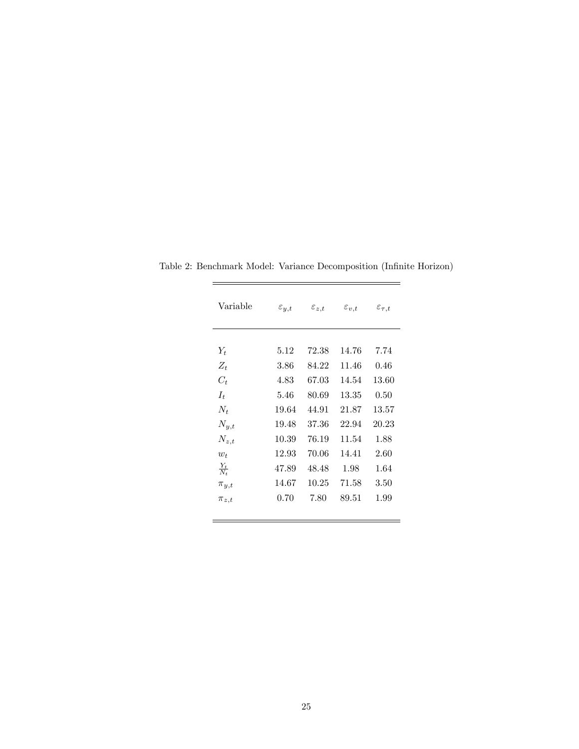| Variable          | $\varepsilon_{y,t}$ | $\varepsilon_{z,t}$ | $\varepsilon_{v,t}$ | $\varepsilon_{\tau,t}$ |
|-------------------|---------------------|---------------------|---------------------|------------------------|
| $Y_t$             | 5.12                | 72.38               | 14.76               | 7.74                   |
| $Z_t$             | 3.86                | 84.22               | 11.46               | 0.46                   |
| $C_t$             | 4.83                | 67.03               | 14.54               | 13.60                  |
| $I_t$             | 5.46                | 80.69               | 13.35               | 0.50                   |
| $N_t$             | 19.64               | 44.91               | 21.87               | 13.57                  |
| $N_{y,t}$         | 19.48               | 37.36               | 22.94               | 20.23                  |
| $N_{z,t}$         | 10.39               | 76.19               | 11.54               | 1.88                   |
| $w_t$             | 12.93               | 70.06               | 14.41               | 2.60                   |
| $\frac{Y_t}{N_t}$ | 47.89               | 48.48               | 1.98                | 1.64                   |
| $\pi_{y,t}$       | 14.67               | 10.25               | 71.58               | 3.50                   |
| $\pi_{z,t}$       | 0.70                | 7.80                | 89.51               | 1.99                   |
|                   |                     |                     |                     |                        |

Table 2: Benchmark Model: Variance Decomposition (Infinite Horizon)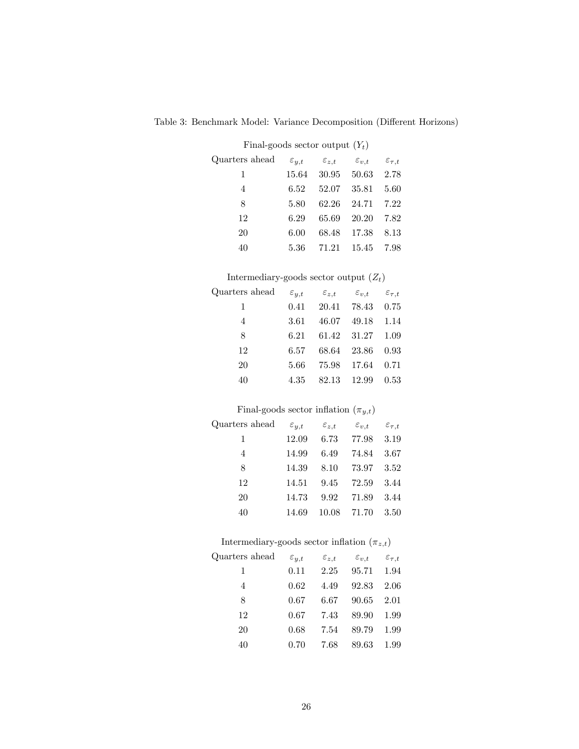| Final-goods sector output $(Y_t)$ |                     |                     |                     |                        |  |  |  |
|-----------------------------------|---------------------|---------------------|---------------------|------------------------|--|--|--|
| Quarters ahead                    | $\varepsilon_{y,t}$ | $\varepsilon_{z,t}$ | $\varepsilon_{v,t}$ | $\varepsilon_{\tau,t}$ |  |  |  |
| 1                                 | 15.64               |                     | 30.95 50.63 2.78    |                        |  |  |  |
| 4                                 | 6.52                | 52.07 35.81         |                     | 5.60                   |  |  |  |
| 8                                 | 5.80                | 62.26               | 24.71 7.22          |                        |  |  |  |
| 12                                | 6.29                | 65.69               | 20.20               | 7.82                   |  |  |  |
| 20                                | 6.00                |                     | 68.48 17.38         | 8.13                   |  |  |  |
| 40                                | $5.36\,$            |                     | 71.21 15.45         | 7.98                   |  |  |  |

Table 3: Benchmark Model: Variance Decomposition (Different Horizons)

# Intermediary-goods sector output  $\left(Z_t\right)$

| Quarters ahead $\varepsilon_{y,t}$ $\varepsilon_{z,t}$ $\varepsilon_{v,t}$ $\varepsilon_{\tau,t}$ |                               |  |
|---------------------------------------------------------------------------------------------------|-------------------------------|--|
| 1                                                                                                 | $0.41$ $20.41$ $78.43$ $0.75$ |  |
| 4                                                                                                 | 3.61 46.07 49.18 1.14         |  |
| 8                                                                                                 | 6.21 61.42 31.27 1.09         |  |
| 12                                                                                                | 6.57 68.64 23.86 0.93         |  |
| 20                                                                                                | 5.66 75.98 17.64 0.71         |  |
| 40                                                                                                | 4.35 82.13 12.99 0.53         |  |

# Final-goods sector inflation  $(\pi_{y,t})$

| Quarters ahead $\varepsilon_{y,t}$ |       | $\varepsilon_{z,t}$ | $\varepsilon_{v,t}$ $\varepsilon_{\tau,t}$ |  |
|------------------------------------|-------|---------------------|--------------------------------------------|--|
| 1                                  | 12.09 |                     | 6.73 77.98 3.19                            |  |
| $\overline{4}$                     | 14.99 |                     | 6.49 74.84 3.67                            |  |
| 8                                  | 14.39 |                     | 8.10 73.97 3.52                            |  |
| 12                                 |       |                     | 14.51 9.45 72.59 3.44                      |  |
| 20                                 | 14.73 |                     | 9.92 71.89 3.44                            |  |
| 40                                 | 14.69 |                     | 10.08 71.70 3.50                           |  |

# Intermediary-goods sector inflation  $(\pi_{z,t})$

| Quarters ahead | $\varepsilon_{y,t}$ | $\varepsilon_{z,t}$ | $\varepsilon_{v,t}$ | $\varepsilon_{\tau,t}$ |
|----------------|---------------------|---------------------|---------------------|------------------------|
| 1              | 0.11                | 2.25                | 95.71               | - 1.94                 |
| 4              | 0.62                | 4.49                | 92.83               | 2.06                   |
| 8              | 0.67                | 6.67                | 90.65 2.01          |                        |
| 12             | 0.67                | 7.43                | 89.90               | 1.99                   |
| 20             | 0.68                | 7.54                | 89.79               | 1.99                   |
| 40             | 0.70                | 7.68                | 89.63               | 1.99                   |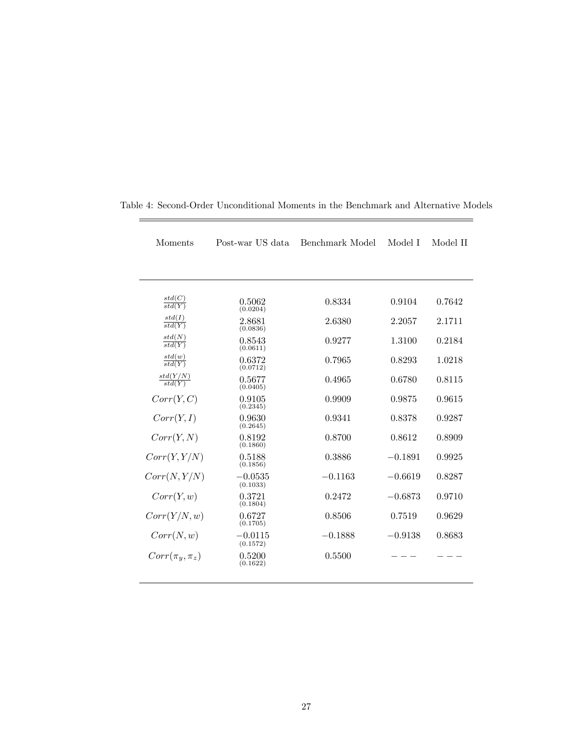| Moments                       | Post-war US data<br>Benchmark Model |           | Model I   | Model II |
|-------------------------------|-------------------------------------|-----------|-----------|----------|
|                               |                                     |           |           |          |
| $\frac{std(C)}{std(Y)}$       | 0.5062<br>(0.0204)                  | 0.8334    | 0.9104    | 0.7642   |
| std(I)<br>$\overline{std(Y)}$ | 2.8681<br>(0.0836)                  | 2.6380    | 2.2057    | 2.1711   |
| std(N)<br>$\overline{std(Y)}$ | 0.8543<br>(0.0611)                  | 0.9277    | 1.3100    | 0.2184   |
| $\frac{std(w)}{std(Y)}$       | 0.6372<br>(0.0712)                  | 0.7965    | 0.8293    | 1.0218   |
| $\frac{std(Y/N)}{std(Y)}$     | 0.5677<br>(0.0405)                  | 0.4965    | 0.6780    | 0.8115   |
| Corr(Y, C)                    | 0.9105<br>(0.2345)                  | 0.9909    | 0.9875    | 0.9615   |
| Corr(Y, I)                    | 0.9630<br>(0.2645)                  | 0.9341    | 0.8378    | 0.9287   |
| Corr(Y, N)                    | 0.8192<br>(0.1860)                  | 0.8700    | 0.8612    | 0.8909   |
| Corr(Y, Y/N)                  | 0.5188<br>(0.1856)                  | 0.3886    | $-0.1891$ | 0.9925   |
| Corr(N, Y/N)                  | $-0.0535$<br>(0.1033)               | $-0.1163$ | $-0.6619$ | 0.8287   |
| Corr(Y, w)                    | 0.3721<br>(0.1804)                  | 0.2472    | $-0.6873$ | 0.9710   |
| Corr(Y/N, w)                  | 0.6727<br>(0.1705)                  | 0.8506    | 0.7519    | 0.9629   |
| Corr(N, w)                    | $-0.0115$<br>(0.1572)               | $-0.1888$ | $-0.9138$ | 0.8683   |
| $Corr(\pi_y, \pi_z)$          | 0.5200<br>(0.1622)                  | 0.5500    |           |          |
|                               |                                     |           |           |          |

Table 4: Second-Order Unconditional Moments in the Benchmark and Alternative Models

 $\overline{\phantom{0}}$ 

 $\equiv$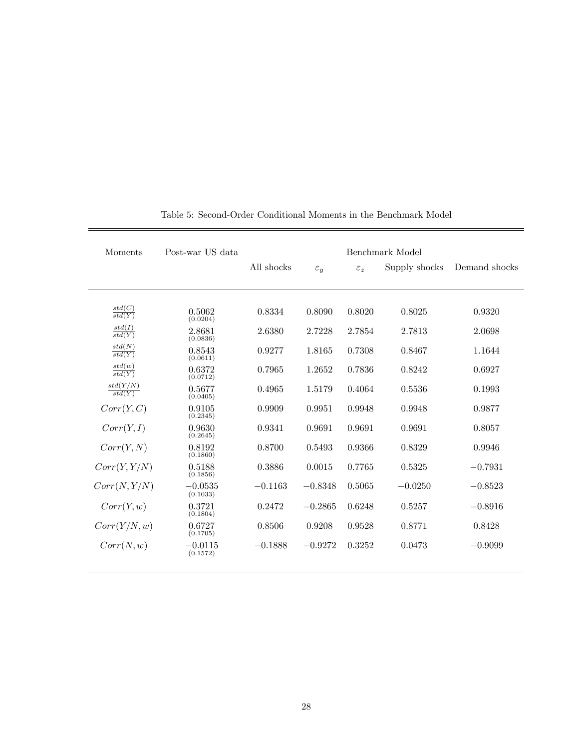| Moments                             | Post-war US data      | Benchmark Model |                 |                 |               |               |
|-------------------------------------|-----------------------|-----------------|-----------------|-----------------|---------------|---------------|
|                                     |                       | All shocks      | $\varepsilon_y$ | $\varepsilon_z$ | Supply shocks | Demand shocks |
|                                     |                       |                 |                 |                 |               |               |
| std(C)<br>$\overline{std(Y)}$       | 0.5062<br>(0.0204)    | 0.8334          | 0.8090          | 0.8020          | 0.8025        | 0.9320        |
| std(I)<br>std(Y)                    | 2.8681<br>(0.0836)    | 2.6380          | 2.7228          | 2.7854          | 2.7813        | 2.0698        |
| std(N)<br>$\overline{std(Y)}$       | 0.8543<br>(0.0611)    | 0.9277          | 1.8165          | 0.7308          | 0.8467        | 1.1644        |
| std(w)<br>$\overrightarrow{std(Y)}$ | 0.6372<br>(0.0712)    | 0.7965          | 1.2652          | 0.7836          | 0.8242        | 0.6927        |
| $\frac{std(Y/N)}{std(Y)}$           | 0.5677<br>(0.0405)    | 0.4965          | 1.5179          | 0.4064          | 0.5536        | 0.1993        |
| Corr(Y, C)                          | 0.9105<br>(0.2345)    | 0.9909          | 0.9951          | 0.9948          | 0.9948        | 0.9877        |
| Corr(Y, I)                          | 0.9630<br>(0.2645)    | 0.9341          | 0.9691          | 0.9691          | 0.9691        | 0.8057        |
| Corr(Y, N)                          | 0.8192<br>(0.1860)    | 0.8700          | 0.5493          | 0.9366          | 0.8329        | 0.9946        |
| Corr(Y, Y/N)                        | 0.5188<br>(0.1856)    | 0.3886          | 0.0015          | 0.7765          | 0.5325        | $-0.7931$     |
| Corr(N, Y/N)                        | $-0.0535$<br>(0.1033) | $-0.1163$       | $-0.8348$       | 0.5065          | $-0.0250$     | $-0.8523$     |
| Corr(Y, w)                          | 0.3721<br>(0.1804)    | 0.2472          | $-0.2865$       | 0.6248          | 0.5257        | $-0.8916$     |
| Corr(Y/N, w)                        | 0.6727<br>(0.1705)    | 0.8506          | 0.9208          | 0.9528          | 0.8771        | 0.8428        |
| Corr(N, w)                          | $-0.0115$<br>(0.1572) | $-0.1888$       | $-0.9272$       | 0.3252          | 0.0473        | $-0.9099$     |

Table 5: Second-Order Conditional Moments in the Benchmark Model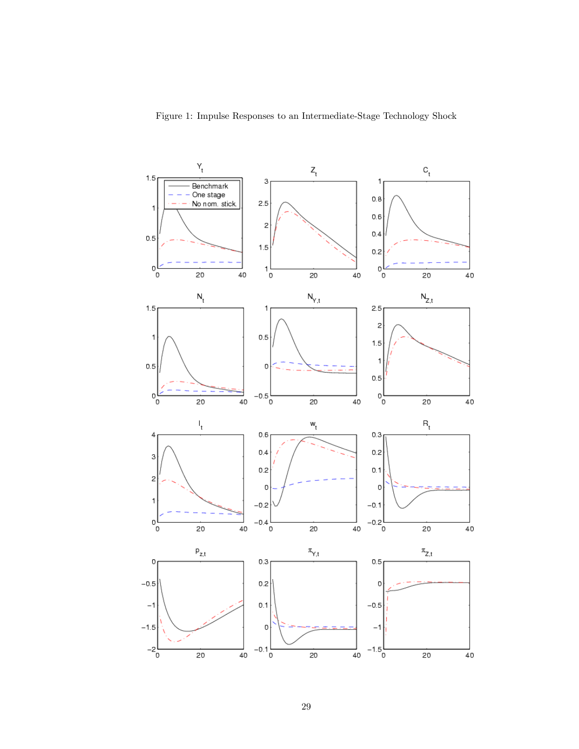